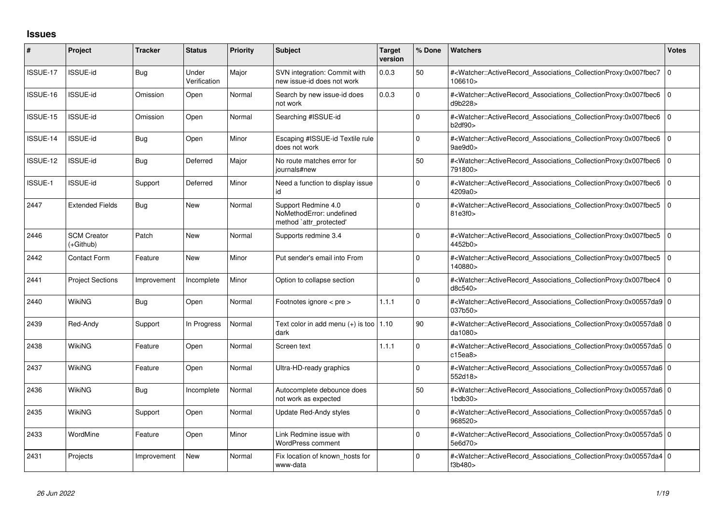## **Issues**

| #        | Project                         | <b>Tracker</b> | <b>Status</b>         | <b>Priority</b> | <b>Subject</b>                                                             | <b>Target</b><br>version | % Done      | <b>Watchers</b>                                                                                                                                                           | <b>Votes</b> |
|----------|---------------------------------|----------------|-----------------------|-----------------|----------------------------------------------------------------------------|--------------------------|-------------|---------------------------------------------------------------------------------------------------------------------------------------------------------------------------|--------------|
| ISSUE-17 | <b>ISSUE-id</b>                 | Bug            | Under<br>Verification | Major           | SVN integration: Commit with<br>new issue-id does not work                 | 0.0.3                    | 50          | # <watcher::activerecord_associations_collectionproxy:0x007fbec7<br>106610&gt;</watcher::activerecord_associations_collectionproxy:0x007fbec7<br>                         | $\Omega$     |
| ISSUE-16 | <b>ISSUE-id</b>                 | Omission       | Open                  | Normal          | Search by new issue-id does<br>not work                                    | 0.0.3                    | $\Omega$    | # <watcher::activerecord associations="" collectionproxy:0x007fbec6<br="">d9b228&gt;</watcher::activerecord>                                                              | $\mathbf 0$  |
| ISSUE-15 | ISSUE-id                        | Omission       | Open                  | Normal          | Searching #ISSUE-id                                                        |                          | $\Omega$    | # <watcher::activerecord_associations_collectionproxy:0x007fbec6<br>b2df90</watcher::activerecord_associations_collectionproxy:0x007fbec6<br>                             | $\Omega$     |
| ISSUE-14 | <b>ISSUE-id</b>                 | Bug            | Open                  | Minor           | Escaping #ISSUE-id Textile rule<br>does not work                           |                          | 0           | # <watcher::activerecord_associations_collectionproxy:0x007fbec6<br>9ae9d0</watcher::activerecord_associations_collectionproxy:0x007fbec6<br>                             | $\mathbf 0$  |
| ISSUE-12 | <b>ISSUE-id</b>                 | Bug            | Deferred              | Major           | No route matches error for<br>journals#new                                 |                          | 50          | # <watcher::activerecord associations="" collectionproxy:0x007fbec6<br="">791800&gt;</watcher::activerecord>                                                              | $\Omega$     |
| ISSUE-1  | <b>ISSUE-id</b>                 | Support        | Deferred              | Minor           | Need a function to display issue<br>id                                     |                          | $\Omega$    | # <watcher::activerecord_associations_collectionproxy:0x007fbec6<br>4209a0&gt;</watcher::activerecord_associations_collectionproxy:0x007fbec6<br>                         | $\mathbf 0$  |
| 2447     | <b>Extended Fields</b>          | Bug            | <b>New</b>            | Normal          | Support Redmine 4.0<br>NoMethodError: undefined<br>method `attr_protected' |                          | $\Omega$    | # <watcher::activerecord_associations_collectionproxy:0x007fbec5<br>81e3f0&gt;</watcher::activerecord_associations_collectionproxy:0x007fbec5<br>                         | $\Omega$     |
| 2446     | <b>SCM Creator</b><br>(+Github) | Patch          | <b>New</b>            | Normal          | Supports redmine 3.4                                                       |                          | $\Omega$    | # <watcher::activerecord associations="" collectionproxy:0x007fbec5<br="">4452b0&gt;</watcher::activerecord>                                                              | l O          |
| 2442     | <b>Contact Form</b>             | Feature        | <b>New</b>            | Minor           | Put sender's email into From                                               |                          | $\Omega$    | # <watcher::activerecord_associations_collectionproxy:0x007fbec5<br>140880&gt;</watcher::activerecord_associations_collectionproxy:0x007fbec5<br>                         | $\Omega$     |
| 2441     | <b>Project Sections</b>         | Improvement    | Incomplete            | Minor           | Option to collapse section                                                 |                          | $\mathbf 0$ | # <watcher::activerecord associations="" collectionproxy:0x007fbec4<br="">d8c540&gt;</watcher::activerecord>                                                              | $\mathbf 0$  |
| 2440     | <b>WikiNG</b>                   | Bug            | Open                  | Normal          | Footnotes ignore < pre >                                                   | 1.1.1                    | $\Omega$    | # <watcher::activerecord_associations_collectionproxy:0x00557da9 0<br="">037b50&gt;</watcher::activerecord_associations_collectionproxy:0x00557da9>                       |              |
| 2439     | Red-Andy                        | Support        | In Progress           | Normal          | Text color in add menu $(+)$ is too   1.10<br>dark                         |                          | 90          | # <watcher::activerecord 0<br="" associations="" collectionproxy:0x00557da8=""  ="">da1080&gt;</watcher::activerecord>                                                    |              |
| 2438     | WikiNG                          | Feature        | Open                  | Normal          | Screen text                                                                | 1.1.1                    | $\Omega$    | # <watcher::activerecord_associations_collectionproxy:0x00557da5 0<br="">c15ea8</watcher::activerecord_associations_collectionproxy:0x00557da5>                           |              |
| 2437     | WikiNG                          | Feature        | Open                  | Normal          | Ultra-HD-ready graphics                                                    |                          | $\Omega$    | # <watcher::activerecord 0<br="" associations="" collectionproxy:0x00557da6=""  ="">552d18&gt;</watcher::activerecord>                                                    |              |
| 2436     | WikiNG                          | Bug            | Incomplete            | Normal          | Autocomplete debounce does<br>not work as expected                         |                          | 50          | # <watcher::activerecord_associations_collectionproxy:0x00557da6 0<br=""><math>1</math>bdb<math>30</math></watcher::activerecord_associations_collectionproxy:0x00557da6> |              |
| 2435     | WikiNG                          | Support        | Open                  | Normal          | Update Red-Andy styles                                                     |                          | $\Omega$    | # <watcher::activerecord_associations_collectionproxy:0x00557da5 0<br="">968520&gt;</watcher::activerecord_associations_collectionproxy:0x00557da5>                       |              |
| 2433     | WordMine                        | Feature        | Open                  | Minor           | Link Redmine issue with<br>WordPress comment                               |                          | $\Omega$    | # <watcher::activerecord_associations_collectionproxy:0x00557da5 0<br="">5e6d70&gt;</watcher::activerecord_associations_collectionproxy:0x00557da5>                       |              |
| 2431     | Projects                        | Improvement    | New                   | Normal          | Fix location of known hosts for<br>www-data                                |                          | $\Omega$    | # <watcher::activerecord 0<br="" associations="" collectionproxy:0x00557da4=""  ="">f3b480&gt;</watcher::activerecord>                                                    |              |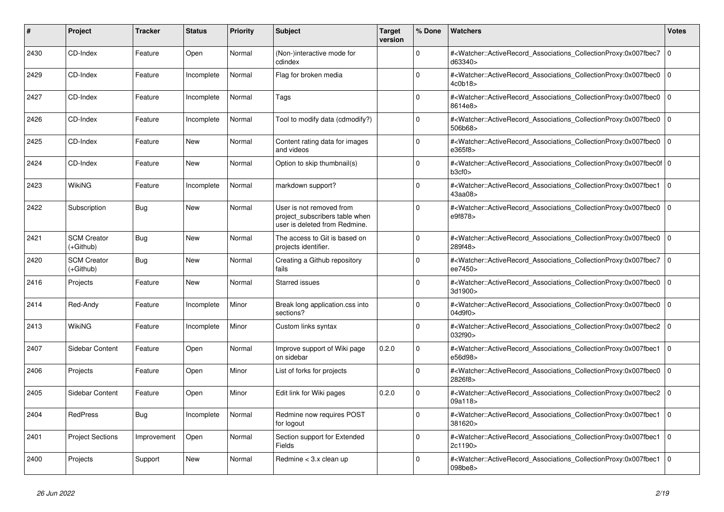| #    | <b>Project</b>                  | <b>Tracker</b> | <b>Status</b> | <b>Priority</b> | <b>Subject</b>                                                                              | <b>Target</b><br>version | % Done      | <b>Watchers</b>                                                                                                                                   | Votes          |
|------|---------------------------------|----------------|---------------|-----------------|---------------------------------------------------------------------------------------------|--------------------------|-------------|---------------------------------------------------------------------------------------------------------------------------------------------------|----------------|
| 2430 | CD-Index                        | Feature        | Open          | Normal          | (Non-)interactive mode for<br>cdindex                                                       |                          | $\Omega$    | # <watcher::activerecord_associations_collectionproxy:0x007fbec7<br>d63340&gt;</watcher::activerecord_associations_collectionproxy:0x007fbec7<br> | $\overline{0}$ |
| 2429 | CD-Index                        | Feature        | Incomplete    | Normal          | Flag for broken media                                                                       |                          | $\Omega$    | # <watcher::activerecord_associations_collectionproxy:0x007fbec0<br>4c0b18&gt;</watcher::activerecord_associations_collectionproxy:0x007fbec0<br> | $\overline{0}$ |
| 2427 | CD-Index                        | Feature        | Incomplete    | Normal          | Tags                                                                                        |                          | $\Omega$    | # <watcher::activerecord_associations_collectionproxy:0x007fbec0<br>8614e8&gt;</watcher::activerecord_associations_collectionproxy:0x007fbec0<br> | 0              |
| 2426 | CD-Index                        | Feature        | Incomplete    | Normal          | Tool to modify data (cdmodify?)                                                             |                          | $\Omega$    | # <watcher::activerecord_associations_collectionproxy:0x007fbec0<br>506b68&gt;</watcher::activerecord_associations_collectionproxy:0x007fbec0<br> | $\Omega$       |
| 2425 | CD-Index                        | Feature        | <b>New</b>    | Normal          | Content rating data for images<br>and videos                                                |                          | $\Omega$    | # <watcher::activerecord_associations_collectionproxy:0x007fbec0<br>e365f8&gt;</watcher::activerecord_associations_collectionproxy:0x007fbec0<br> | $\overline{0}$ |
| 2424 | CD-Index                        | Feature        | New           | Normal          | Option to skip thumbnail(s)                                                                 |                          | $\Omega$    | # <watcher::activerecord 0<br="" associations="" collectionproxy:0x007fbec0f=""  ="">b3cf0</watcher::activerecord>                                |                |
| 2423 | WikiNG                          | Feature        | Incomplete    | Normal          | markdown support?                                                                           |                          | $\Omega$    | # <watcher::activerecord associations="" collectionproxy:0x007fbec1<br="">43aa08&gt;</watcher::activerecord>                                      | $\overline{0}$ |
| 2422 | Subscription                    | Bug            | <b>New</b>    | Normal          | User is not removed from<br>project_subscribers table when<br>user is deleted from Redmine. |                          | $\Omega$    | # <watcher::activerecord associations="" collectionproxy:0x007fbec0<br="">e9f878&gt;</watcher::activerecord>                                      | $\overline{0}$ |
| 2421 | <b>SCM Creator</b><br>(+Github) | Bug            | New           | Normal          | The access to Git is based on<br>projects identifier.                                       |                          | $\Omega$    | # <watcher::activerecord_associations_collectionproxy:0x007fbec0<br>289f48&gt;</watcher::activerecord_associations_collectionproxy:0x007fbec0<br> | 0              |
| 2420 | <b>SCM Creator</b><br>(+Github) | <b>Bug</b>     | <b>New</b>    | Normal          | Creating a Github repository<br>fails                                                       |                          | $\Omega$    | # <watcher::activerecord_associations_collectionproxy:0x007fbec7<br>ee7450&gt;</watcher::activerecord_associations_collectionproxy:0x007fbec7<br> | $\Omega$       |
| 2416 | Projects                        | Feature        | <b>New</b>    | Normal          | <b>Starred issues</b>                                                                       |                          | $\Omega$    | # <watcher::activerecord associations="" collectionproxy:0x007fbec0<br="">3d1900&gt;</watcher::activerecord>                                      | $\Omega$       |
| 2414 | Red-Andy                        | Feature        | Incomplete    | Minor           | Break long application.css into<br>sections?                                                |                          | $\Omega$    | # <watcher::activerecord associations="" collectionproxy:0x007fbec0<br="">04d9f0&gt;</watcher::activerecord>                                      | 0              |
| 2413 | WikiNG                          | Feature        | Incomplete    | Minor           | Custom links syntax                                                                         |                          | 0           | # <watcher::activerecord_associations_collectionproxy:0x007fbec2<br>032f90&gt;</watcher::activerecord_associations_collectionproxy:0x007fbec2<br> | $\overline{0}$ |
| 2407 | <b>Sidebar Content</b>          | Feature        | Open          | Normal          | Improve support of Wiki page<br>on sidebar                                                  | 0.2.0                    | $\Omega$    | # <watcher::activerecord associations="" collectionproxy:0x007fbec1<br="">e56d98&gt;</watcher::activerecord>                                      | 0              |
| 2406 | Projects                        | Feature        | Open          | Minor           | List of forks for projects                                                                  |                          | $\Omega$    | # <watcher::activerecord associations="" collectionproxy:0x007fbec0<br="">2826f8&gt;</watcher::activerecord>                                      | $\overline{0}$ |
| 2405 | <b>Sidebar Content</b>          | Feature        | Open          | Minor           | Edit link for Wiki pages                                                                    | 0.2.0                    | $\mathbf 0$ | # <watcher::activerecord_associations_collectionproxy:0x007fbec2<br>09a118&gt;</watcher::activerecord_associations_collectionproxy:0x007fbec2<br> | 0              |
| 2404 | RedPress                        | Bug            | Incomplete    | Normal          | Redmine now requires POST<br>for logout                                                     |                          | $\Omega$    | # <watcher::activerecord associations="" collectionproxy:0x007fbec1<br="">381620&gt;</watcher::activerecord>                                      | $\overline{0}$ |
| 2401 | <b>Project Sections</b>         | Improvement    | Open          | Normal          | Section support for Extended<br>Fields                                                      |                          | $\Omega$    | # <watcher::activerecord associations="" collectionproxy:0x007fbec1<br="">2c1190&gt;</watcher::activerecord>                                      | $\overline{0}$ |
| 2400 | Projects                        | Support        | <b>New</b>    | Normal          | Redmine < 3.x clean up                                                                      |                          | $\Omega$    | # <watcher::activerecord_associations_collectionproxy:0x007fbec1<br>098be8&gt;</watcher::activerecord_associations_collectionproxy:0x007fbec1<br> | $\overline{0}$ |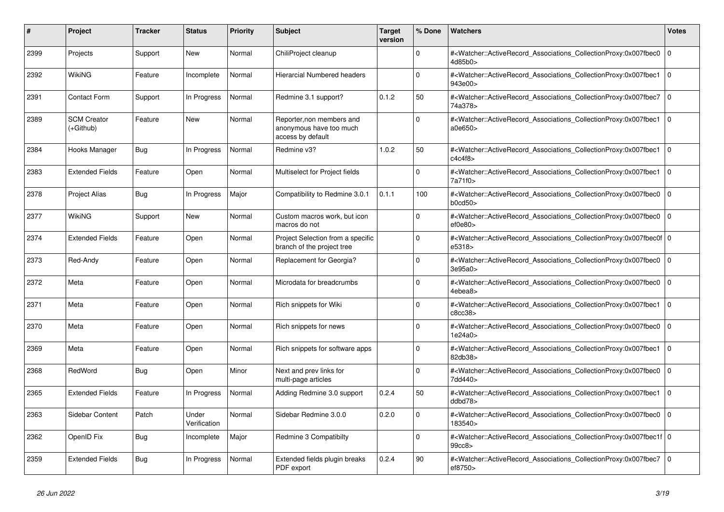| #    | <b>Project</b>                  | <b>Tracker</b> | <b>Status</b>         | <b>Priority</b> | <b>Subject</b>                                                            | <b>Target</b><br>version | % Done      | <b>Watchers</b>                                                                                                                                           | Votes          |
|------|---------------------------------|----------------|-----------------------|-----------------|---------------------------------------------------------------------------|--------------------------|-------------|-----------------------------------------------------------------------------------------------------------------------------------------------------------|----------------|
| 2399 | Projects                        | Support        | New                   | Normal          | ChiliProject cleanup                                                      |                          | $\Omega$    | # <watcher::activerecord_associations_collectionproxy:0x007fbec0<br>4d85b0&gt;</watcher::activerecord_associations_collectionproxy:0x007fbec0<br>         | 0              |
| 2392 | WikiNG                          | Feature        | Incomplete            | Normal          | Hierarcial Numbered headers                                               |                          | $\Omega$    | # <watcher::activerecord associations="" collectionproxy:0x007fbec1<br="">943e00&gt;</watcher::activerecord>                                              | $\overline{0}$ |
| 2391 | <b>Contact Form</b>             | Support        | In Progress           | Normal          | Redmine 3.1 support?                                                      | 0.1.2                    | 50          | # <watcher::activerecord associations="" collectionproxy:0x007fbec7<br="">74a378&gt;</watcher::activerecord>                                              | 0              |
| 2389 | <b>SCM Creator</b><br>(+Github) | Feature        | <b>New</b>            | Normal          | Reporter, non members and<br>anonymous have too much<br>access by default |                          | $\Omega$    | # <watcher::activerecord associations="" collectionproxy:0x007fbec1<br="">a0e650&gt;</watcher::activerecord>                                              | 0              |
| 2384 | Hooks Manager                   | Bug            | In Progress           | Normal          | Redmine v3?                                                               | 1.0.2                    | 50          | # <watcher::activerecord associations="" collectionproxy:0x007fbec1<br="">c4c4f8</watcher::activerecord>                                                  | $\overline{0}$ |
| 2383 | <b>Extended Fields</b>          | Feature        | Open                  | Normal          | Multiselect for Project fields                                            |                          | $\Omega$    | # <watcher::activerecord_associations_collectionproxy:0x007fbec1<br>7a71f0&gt;</watcher::activerecord_associations_collectionproxy:0x007fbec1<br>         | 0              |
| 2378 | <b>Project Alias</b>            | <b>Bug</b>     | In Progress           | Major           | Compatibility to Redmine 3.0.1                                            | 0.1.1                    | 100         | # <watcher::activerecord_associations_collectionproxy:0x007fbec0<br>b0cd50</watcher::activerecord_associations_collectionproxy:0x007fbec0<br>             | $\overline{0}$ |
| 2377 | WikiNG                          | Support        | <b>New</b>            | Normal          | Custom macros work, but icon<br>macros do not                             |                          | $\Omega$    | # <watcher::activerecord_associations_collectionproxy:0x007fbec0<br>ef0e80</watcher::activerecord_associations_collectionproxy:0x007fbec0<br>             | $\overline{0}$ |
| 2374 | <b>Extended Fields</b>          | Feature        | Open                  | Normal          | Project Selection from a specific<br>branch of the project tree           |                          | $\Omega$    | # <watcher::activerecord 0<br="" associations="" collectionproxy:0x007fbec0f=""  ="">e5318&gt;</watcher::activerecord>                                    |                |
| 2373 | Red-Andy                        | Feature        | Open                  | Normal          | Replacement for Georgia?                                                  |                          | $\Omega$    | # <watcher::activerecord_associations_collectionproxy:0x007fbec0<br>3e95a0&gt;</watcher::activerecord_associations_collectionproxy:0x007fbec0<br>         | $\overline{0}$ |
| 2372 | Meta                            | Feature        | Open                  | Normal          | Microdata for breadcrumbs                                                 |                          | $\Omega$    | # <watcher::activerecord associations="" collectionproxy:0x007fbec0<br="">4ebea8&gt;</watcher::activerecord>                                              | $\overline{0}$ |
| 2371 | Meta                            | Feature        | Open                  | Normal          | Rich snippets for Wiki                                                    |                          | $\Omega$    | # <watcher::activerecord associations="" collectionproxy:0x007fbec1<br="">c8cc38&gt;</watcher::activerecord>                                              | 0              |
| 2370 | Meta                            | Feature        | Open                  | Normal          | Rich snippets for news                                                    |                          | $\Omega$    | # <watcher::activerecord_associations_collectionproxy:0x007fbec0<br>1e24a0&gt;</watcher::activerecord_associations_collectionproxy:0x007fbec0<br>         | $\Omega$       |
| 2369 | Meta                            | Feature        | Open                  | Normal          | Rich snippets for software apps                                           |                          | $\Omega$    | # <watcher::activerecord associations="" collectionproxy:0x007fbec1<br="">82db38&gt;</watcher::activerecord>                                              | $\overline{0}$ |
| 2368 | RedWord                         | Bug            | Open                  | Minor           | Next and prev links for<br>multi-page articles                            |                          | $\mathbf 0$ | # <watcher::activerecord associations="" collectionproxy:0x007fbec0<br="">7dd440&gt;</watcher::activerecord>                                              | 0              |
| 2365 | <b>Extended Fields</b>          | Feature        | In Progress           | Normal          | Adding Redmine 3.0 support                                                | 0.2.4                    | 50          | # <watcher::activerecord_associations_collectionproxy:0x007fbec1<br>ddbd78&gt;</watcher::activerecord_associations_collectionproxy:0x007fbec1<br>         | $\Omega$       |
| 2363 | <b>Sidebar Content</b>          | Patch          | Under<br>Verification | Normal          | Sidebar Redmine 3.0.0                                                     | 0.2.0                    | $\Omega$    | # <watcher::activerecord associations="" collectionproxy:0x007fbec0<br="">183540&gt;</watcher::activerecord>                                              | $\Omega$       |
| 2362 | OpenID Fix                      | <b>Bug</b>     | Incomplete            | Major           | Redmine 3 Compatibilty                                                    |                          | $\Omega$    | # <watcher::activerecord_associations_collectionproxy:0x007fbec1f 0<br=""  ="">99cc8&gt;</watcher::activerecord_associations_collectionproxy:0x007fbec1f> |                |
| 2359 | <b>Extended Fields</b>          | <b>Bug</b>     | In Progress           | Normal          | Extended fields plugin breaks<br>PDF export                               | 0.2.4                    | 90          | # <watcher::activerecord_associations_collectionproxy:0x007fbec7<br>ef8750&gt;</watcher::activerecord_associations_collectionproxy:0x007fbec7<br>         | $\overline{0}$ |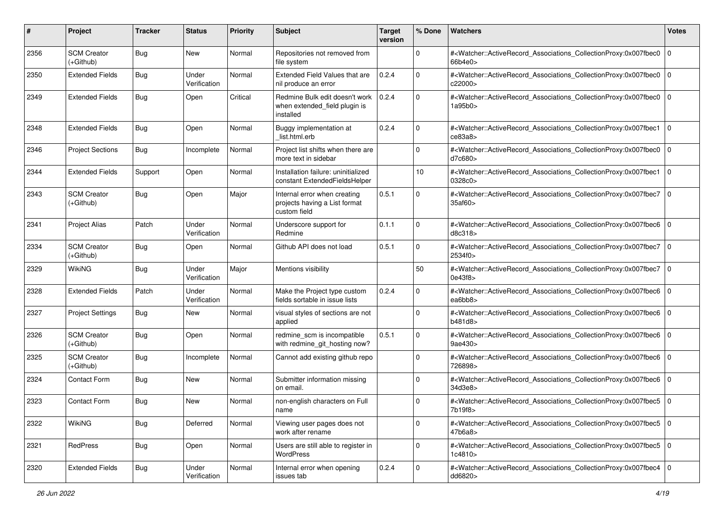| #    | Project                           | <b>Tracker</b> | <b>Status</b>         | <b>Priority</b> | Subject                                                                       | <b>Target</b><br>version | % Done      | <b>Watchers</b>                                                                                                                                          | <b>Votes</b> |
|------|-----------------------------------|----------------|-----------------------|-----------------|-------------------------------------------------------------------------------|--------------------------|-------------|----------------------------------------------------------------------------------------------------------------------------------------------------------|--------------|
| 2356 | <b>SCM Creator</b><br>$(+Github)$ | Bug            | New                   | Normal          | Repositories not removed from<br>file system                                  |                          | 0           | # <watcher::activerecord_associations_collectionproxy:0x007fbec0<br>66b4e0&gt;</watcher::activerecord_associations_collectionproxy:0x007fbec0<br>        | $\mathbf 0$  |
| 2350 | <b>Extended Fields</b>            | <b>Bug</b>     | Under<br>Verification | Normal          | Extended Field Values that are<br>nil produce an error                        | 0.2.4                    | $\Omega$    | # <watcher::activerecord_associations_collectionproxy:0x007fbec0<br>c22000&gt;</watcher::activerecord_associations_collectionproxy:0x007fbec0<br>        | $\mathbf 0$  |
| 2349 | <b>Extended Fields</b>            | Bug            | Open                  | Critical        | Redmine Bulk edit doesn't work<br>when extended_field plugin is<br>installed  | 0.2.4                    | $\Omega$    | # <watcher::activerecord_associations_collectionproxy:0x007fbec0 0<br="">1a95b0&gt;</watcher::activerecord_associations_collectionproxy:0x007fbec0>      |              |
| 2348 | <b>Extended Fields</b>            | Bug            | Open                  | Normal          | Buggy implementation at<br>list.html.erb                                      | 0.2.4                    | $\Omega$    | # <watcher::activerecord associations="" collectionproxy:0x007fbec1<br="">ce83a8</watcher::activerecord>                                                 | $\Omega$     |
| 2346 | <b>Project Sections</b>           | Bug            | Incomplete            | Normal          | Project list shifts when there are<br>more text in sidebar                    |                          | $\mathbf 0$ | # <watcher::activerecord_associations_collectionproxy:0x007fbec0<br>d7c680&gt;</watcher::activerecord_associations_collectionproxy:0x007fbec0<br>        | $\mathbf 0$  |
| 2344 | <b>Extended Fields</b>            | Support        | Open                  | Normal          | Installation failure: uninitialized<br>constant ExtendedFieldsHelper          |                          | 10          | # <watcher::activerecord_associations_collectionproxy:0x007fbec1<br>0328c0&gt;</watcher::activerecord_associations_collectionproxy:0x007fbec1<br>        | $\mathbf 0$  |
| 2343 | <b>SCM Creator</b><br>(+Github)   | Bug            | Open                  | Major           | Internal error when creating<br>projects having a List format<br>custom field | 0.5.1                    | $\Omega$    | # <watcher::activerecord_associations_collectionproxy:0x007fbec7<br>35af60&gt;</watcher::activerecord_associations_collectionproxy:0x007fbec7<br>        | l O          |
| 2341 | <b>Project Alias</b>              | Patch          | Under<br>Verification | Normal          | Underscore support for<br>Redmine                                             | 0.1.1                    | $\mathbf 0$ | # <watcher::activerecord_associations_collectionproxy:0x007fbec6<br>d8c318&gt;</watcher::activerecord_associations_collectionproxy:0x007fbec6<br>        | $\mathbf 0$  |
| 2334 | <b>SCM Creator</b><br>(+Github)   | Bug            | Open                  | Normal          | Github API does not load                                                      | 0.5.1                    | $\Omega$    | # <watcher::activerecord associations="" collectionproxy:0x007fbec7<br="">2534f0&gt;</watcher::activerecord>                                             | $\mathbf 0$  |
| 2329 | <b>WikiNG</b>                     | Bug            | Under<br>Verification | Major           | Mentions visibility                                                           |                          | 50          | # <watcher::activerecord_associations_collectionproxy:0x007fbec7<br>0e43f8&gt;</watcher::activerecord_associations_collectionproxy:0x007fbec7<br>        | $\Omega$     |
| 2328 | <b>Extended Fields</b>            | Patch          | Under<br>Verification | Normal          | Make the Project type custom<br>fields sortable in issue lists                | 0.2.4                    | $\Omega$    | # <watcher::activerecord_associations_collectionproxy:0x007fbec6<br>ea6bb8&gt;</watcher::activerecord_associations_collectionproxy:0x007fbec6<br>        | $\mathbf 0$  |
| 2327 | <b>Project Settings</b>           | Bug            | New                   | Normal          | visual styles of sections are not<br>applied                                  |                          | $\mathbf 0$ | # <watcher::activerecord_associations_collectionproxy:0x007fbec6<br>b481d8&gt;</watcher::activerecord_associations_collectionproxy:0x007fbec6<br>        | $\mathbf 0$  |
| 2326 | <b>SCM Creator</b><br>(+Github)   | Bug            | Open                  | Normal          | redmine_scm is incompatible<br>with redmine_git_hosting now?                  | 0.5.1                    | 0           | # <watcher::activerecord_associations_collectionproxy:0x007fbec6<br>9ae430&gt;</watcher::activerecord_associations_collectionproxy:0x007fbec6<br>        | $\mathbf 0$  |
| 2325 | <b>SCM Creator</b><br>$(+Github)$ | Bug            | Incomplete            | Normal          | Cannot add existing github repo                                               |                          | 0           | # <watcher::activerecord_associations_collectionproxy:0x007fbec6<br>726898&gt;</watcher::activerecord_associations_collectionproxy:0x007fbec6<br>        | l O          |
| 2324 | Contact Form                      | Bug            | New                   | Normal          | Submitter information missing<br>on email.                                    |                          | $\Omega$    | # <watcher::activerecord_associations_collectionproxy:0x007fbec6<br>34d3e8&gt;</watcher::activerecord_associations_collectionproxy:0x007fbec6<br>        | $\mathbf 0$  |
| 2323 | <b>Contact Form</b>               | Bug            | New                   | Normal          | non-english characters on Full<br>name                                        |                          | $\Omega$    | # <watcher::activerecord_associations_collectionproxy:0x007fbec5 0<br=""  ="">7b19f8&gt;</watcher::activerecord_associations_collectionproxy:0x007fbec5> |              |
| 2322 | <b>WikiNG</b>                     | <b>Bug</b>     | Deferred              | Normal          | Viewing user pages does not<br>work after rename                              |                          | $\mathbf 0$ | # <watcher::activerecord_associations_collectionproxy:0x007fbec5 0<br=""  ="">47b6a8&gt;</watcher::activerecord_associations_collectionproxy:0x007fbec5> |              |
| 2321 | RedPress                          | <b>Bug</b>     | Open                  | Normal          | Users are still able to register in<br>WordPress                              |                          | $\mathbf 0$ | # <watcher::activerecord_associations_collectionproxy:0x007fbec5 0<br="">1c4810 &gt;</watcher::activerecord_associations_collectionproxy:0x007fbec5>     |              |
| 2320 | <b>Extended Fields</b>            | <b>Bug</b>     | Under<br>Verification | Normal          | Internal error when opening<br>issues tab                                     | 0.2.4                    | 0           | # <watcher::activerecord_associations_collectionproxy:0x007fbec4 0<br=""  ="">dd6820&gt;</watcher::activerecord_associations_collectionproxy:0x007fbec4> |              |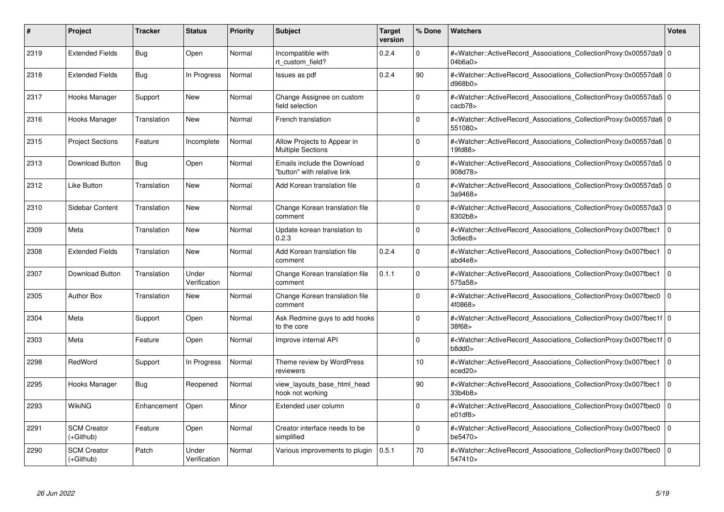| #    | Project                           | Tracker     | <b>Status</b>         | <b>Priority</b> | <b>Subject</b>                                             | <b>Target</b><br>version | % Done      | <b>Watchers</b>                                                                                                                                           | <b>Votes</b>   |
|------|-----------------------------------|-------------|-----------------------|-----------------|------------------------------------------------------------|--------------------------|-------------|-----------------------------------------------------------------------------------------------------------------------------------------------------------|----------------|
| 2319 | <b>Extended Fields</b>            | Bug         | Open                  | Normal          | Incompatible with<br>rt custom field?                      | 0.2.4                    | $\Omega$    | # <watcher::activerecord 0<br="" associations="" collectionproxy:0x00557da9=""  ="">04b6a0&gt;</watcher::activerecord>                                    |                |
| 2318 | <b>Extended Fields</b>            | Bug         | In Progress           | Normal          | Issues as pdf                                              | 0.2.4                    | 90          | # <watcher::activerecord 0<br="" associations="" collectionproxy:0x00557da8=""  ="">d968b0&gt;</watcher::activerecord>                                    |                |
| 2317 | Hooks Manager                     | Support     | <b>New</b>            | Normal          | Change Assignee on custom<br>field selection               |                          | $\Omega$    | # <watcher::activerecord_associations_collectionproxy:0x00557da5 0<br="">cacb78&gt;</watcher::activerecord_associations_collectionproxy:0x00557da5>       |                |
| 2316 | Hooks Manager                     | Translation | New                   | Normal          | French translation                                         |                          | $\Omega$    | # <watcher::activerecord 0<br="" associations="" collectionproxy:0x00557da6=""  ="">551080&gt;</watcher::activerecord>                                    |                |
| 2315 | <b>Project Sections</b>           | Feature     | Incomplete            | Normal          | Allow Projects to Appear in<br><b>Multiple Sections</b>    |                          | $\Omega$    | # <watcher::activerecord_associations_collectionproxy:0x00557da6 0<br=""  ="">19fd88&gt;</watcher::activerecord_associations_collectionproxy:0x00557da6>  |                |
| 2313 | Download Button                   | Bug         | Open                  | Normal          | Emails include the Download<br>"button" with relative link |                          | $\Omega$    | # <watcher::activerecord_associations_collectionproxy:0x00557da5 0<br=""  ="">908d78&gt;</watcher::activerecord_associations_collectionproxy:0x00557da5>  |                |
| 2312 | <b>Like Button</b>                | Translation | New                   | Normal          | Add Korean translation file                                |                          | $\Omega$    | # <watcher::activerecord 0<br="" associations="" collectionproxy:0x00557da5=""  ="">3a9468&gt;</watcher::activerecord>                                    |                |
| 2310 | Sidebar Content                   | Translation | New                   | Normal          | Change Korean translation file<br>comment                  |                          | $\Omega$    | # <watcher::activerecord_associations_collectionproxy:0x00557da3 0<br="">8302b8&gt;</watcher::activerecord_associations_collectionproxy:0x00557da3>       |                |
| 2309 | Meta                              | Translation | <b>New</b>            | Normal          | Update korean translation to<br>0.2.3                      |                          | $\Omega$    | # <watcher::activerecord_associations_collectionproxy:0x007fbec1<br>3c6ec8&gt;</watcher::activerecord_associations_collectionproxy:0x007fbec1<br>         | $\overline{0}$ |
| 2308 | <b>Extended Fields</b>            | Translation | <b>New</b>            | Normal          | Add Korean translation file<br>comment                     | 0.2.4                    | $\Omega$    | # <watcher::activerecord associations="" collectionproxy:0x007fbec1<br="">abd4e8</watcher::activerecord>                                                  | l O            |
| 2307 | Download Button                   | Translation | Under<br>Verification | Normal          | Change Korean translation file<br>comment                  | 0.1.1                    | $\Omega$    | # <watcher::activerecord_associations_collectionproxy:0x007fbec1<br>575a58&gt;</watcher::activerecord_associations_collectionproxy:0x007fbec1<br>         | $\overline{0}$ |
| 2305 | <b>Author Box</b>                 | Translation | <b>New</b>            | Normal          | Change Korean translation file<br>comment                  |                          | $\Omega$    | # <watcher::activerecord_associations_collectionproxy:0x007fbec0 0<br=""  ="">4f0868&gt;</watcher::activerecord_associations_collectionproxy:0x007fbec0>  |                |
| 2304 | Meta                              | Support     | Open                  | Normal          | Ask Redmine guys to add hooks<br>to the core               |                          | $\mathbf 0$ | # <watcher::activerecord 0<br="" associations="" collectionproxy:0x007fbec1f=""  ="">38f68&gt;</watcher::activerecord>                                    |                |
| 2303 | Meta                              | Feature     | Open                  | Normal          | Improve internal API                                       |                          | $\Omega$    | # <watcher::activerecord_associations_collectionproxy:0x007fbec1f 0<br=""  ="">b8dd0&gt;</watcher::activerecord_associations_collectionproxy:0x007fbec1f> |                |
| 2298 | RedWord                           | Support     | In Progress           | Normal          | Theme review by WordPress<br>reviewers                     |                          | 10          | # <watcher::activerecord associations="" collectionproxy:0x007fbec1<br="">eced20&gt;</watcher::activerecord>                                              | $\overline{0}$ |
| 2295 | Hooks Manager                     | Bug         | Reopened              | Normal          | view_layouts_base_html_head<br>hook not working            |                          | 90          | # <watcher::activerecord_associations_collectionproxy:0x007fbec1<br>33b4b8&gt;</watcher::activerecord_associations_collectionproxy:0x007fbec1<br>         | $\overline{0}$ |
| 2293 | WikiNG                            | Enhancement | Open                  | Minor           | Extended user column                                       |                          | $\Omega$    | # <watcher::activerecord_associations_collectionproxy:0x007fbec0<br>e01df8</watcher::activerecord_associations_collectionproxy:0x007fbec0<br>             | l 0            |
| 2291 | <b>SCM Creator</b><br>(+Github)   | Feature     | Open                  | Normal          | Creator interface needs to be<br>simplified                |                          | $\mathbf 0$ | # <watcher::activerecord associations="" collectionproxy:0x007fbec0<br="">be5470&gt;</watcher::activerecord>                                              | $\overline{0}$ |
| 2290 | <b>SCM Creator</b><br>$(+Github)$ | Patch       | Under<br>Verification | Normal          | Various improvements to plugin                             | 0.5.1                    | 70          | # <watcher::activerecord_associations_collectionproxy:0x007fbec0<br>547410&gt;</watcher::activerecord_associations_collectionproxy:0x007fbec0<br>         | $\overline{0}$ |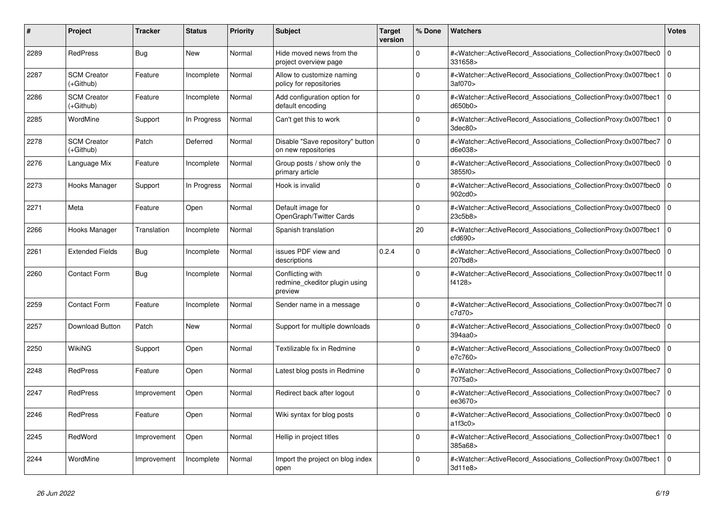| #    | Project                         | <b>Tracker</b> | <b>Status</b> | <b>Priority</b> | <b>Subject</b>                                               | <b>Target</b><br>version | % Done      | <b>Watchers</b>                                                                                                                                           | <b>Votes</b> |
|------|---------------------------------|----------------|---------------|-----------------|--------------------------------------------------------------|--------------------------|-------------|-----------------------------------------------------------------------------------------------------------------------------------------------------------|--------------|
| 2289 | <b>RedPress</b>                 | Bug            | <b>New</b>    | Normal          | Hide moved news from the<br>project overview page            |                          | $\Omega$    | # <watcher::activerecord_associations_collectionproxy:0x007fbec0<br>331658&gt;</watcher::activerecord_associations_collectionproxy:0x007fbec0<br>         | $\mathbf 0$  |
| 2287 | <b>SCM Creator</b><br>(+Github) | Feature        | Incomplete    | Normal          | Allow to customize naming<br>policy for repositories         |                          | $\Omega$    | # <watcher::activerecord associations="" collectionproxy:0x007fbec1<br="">3af070&gt;</watcher::activerecord>                                              | $\Omega$     |
| 2286 | <b>SCM Creator</b><br>(+Github) | Feature        | Incomplete    | Normal          | Add configuration option for<br>default encoding             |                          | $\Omega$    | # <watcher::activerecord_associations_collectionproxy:0x007fbec1 0<br=""  ="">d650b0&gt;</watcher::activerecord_associations_collectionproxy:0x007fbec1>  |              |
| 2285 | WordMine                        | Support        | In Progress   | Normal          | Can't get this to work                                       |                          | $\Omega$    | # <watcher::activerecord_associations_collectionproxy:0x007fbec1<br>3dec80&gt;</watcher::activerecord_associations_collectionproxy:0x007fbec1<br>         | $\mathbf 0$  |
| 2278 | <b>SCM Creator</b><br>(+Github) | Patch          | Deferred      | Normal          | Disable "Save repository" button<br>on new repositories      |                          | $\Omega$    | # <watcher::activerecord_associations_collectionproxy:0x007fbec7<br>d6e038&gt;</watcher::activerecord_associations_collectionproxy:0x007fbec7<br>         | $\Omega$     |
| 2276 | Language Mix                    | Feature        | Incomplete    | Normal          | Group posts / show only the<br>primary article               |                          | $\Omega$    | # <watcher::activerecord 0<br="" associations="" collectionproxy:0x007fbec0=""  ="">3855f0&gt;</watcher::activerecord>                                    |              |
| 2273 | Hooks Manager                   | Support        | In Progress   | Normal          | Hook is invalid                                              |                          | $\Omega$    | # <watcher::activerecord_associations_collectionproxy:0x007fbec0<br>902cd0&gt;</watcher::activerecord_associations_collectionproxy:0x007fbec0<br>         | $\mathbf 0$  |
| 2271 | Meta                            | Feature        | Open          | Normal          | Default image for<br>OpenGraph/Twitter Cards                 |                          | $\mathbf 0$ | # <watcher::activerecord_associations_collectionproxy:0x007fbec0<br>23c5b8&gt;</watcher::activerecord_associations_collectionproxy:0x007fbec0<br>         | $\mathbf 0$  |
| 2266 | Hooks Manager                   | Translation    | Incomplete    | Normal          | Spanish translation                                          |                          | 20          | # <watcher::activerecord_associations_collectionproxy:0x007fbec1 0<br=""  ="">cfd690</watcher::activerecord_associations_collectionproxy:0x007fbec1>      |              |
| 2261 | <b>Extended Fields</b>          | Bug            | Incomplete    | Normal          | issues PDF view and<br>descriptions                          | 0.2.4                    | $\Omega$    | # <watcher::activerecord associations="" collectionproxy:0x007fbec0<br="">207bd8&gt;</watcher::activerecord>                                              | $\mathbf 0$  |
| 2260 | <b>Contact Form</b>             | <b>Bug</b>     | Incomplete    | Normal          | Conflicting with<br>redmine ckeditor plugin using<br>preview |                          | $\mathbf 0$ | # <watcher::activerecord_associations_collectionproxy:0x007fbec1f 0<br=""  ="">f4128&gt;</watcher::activerecord_associations_collectionproxy:0x007fbec1f> |              |
| 2259 | <b>Contact Form</b>             | Feature        | Incomplete    | Normal          | Sender name in a message                                     |                          | $\Omega$    | # <watcher::activerecord_associations_collectionproxy:0x007fbec7f 0<br=""  ="">c7d70&gt;</watcher::activerecord_associations_collectionproxy:0x007fbec7f> |              |
| 2257 | Download Button                 | Patch          | New           | Normal          | Support for multiple downloads                               |                          | $\Omega$    | # <watcher::activerecord associations="" collectionproxy:0x007fbec0<br="">394aa0&gt;</watcher::activerecord>                                              | $\mathbf 0$  |
| 2250 | <b>WikiNG</b>                   | Support        | Open          | Normal          | Textilizable fix in Redmine                                  |                          | $\mathbf 0$ | # <watcher::activerecord associations="" collectionproxy:0x007fbec0<br="">e7c760&gt;</watcher::activerecord>                                              | $\mathbf 0$  |
| 2248 | <b>RedPress</b>                 | Feature        | Open          | Normal          | Latest blog posts in Redmine                                 |                          | $\Omega$    | # <watcher::activerecord associations="" collectionproxy:0x007fbec7<br="">7075a0&gt;</watcher::activerecord>                                              | l o          |
| 2247 | <b>RedPress</b>                 | Improvement    | Open          | Normal          | Redirect back after logout                                   |                          | $\Omega$    | # <watcher::activerecord associations="" collectionproxy:0x007fbec7<br="">ee3670&gt;</watcher::activerecord>                                              | $\mathbf 0$  |
| 2246 | <b>RedPress</b>                 | Feature        | Open          | Normal          | Wiki syntax for blog posts                                   |                          | $\Omega$    | # <watcher::activerecord_associations_collectionproxy:0x007fbec0<br>a1f3c0&gt;</watcher::activerecord_associations_collectionproxy:0x007fbec0<br>         | $\mathbf 0$  |
| 2245 | RedWord                         | Improvement    | Open          | Normal          | Hellip in project titles                                     |                          | $\Omega$    | # <watcher::activerecord associations="" collectionproxy:0x007fbec1<br="">385a68&gt;</watcher::activerecord>                                              | $\Omega$     |
| 2244 | WordMine                        | Improvement    | Incomplete    | Normal          | Import the project on blog index<br>open                     |                          | $\Omega$    | # <watcher::activerecord_associations_collectionproxy:0x007fbec1<br>3d11e8&gt;</watcher::activerecord_associations_collectionproxy:0x007fbec1<br>         | $\mathbf 0$  |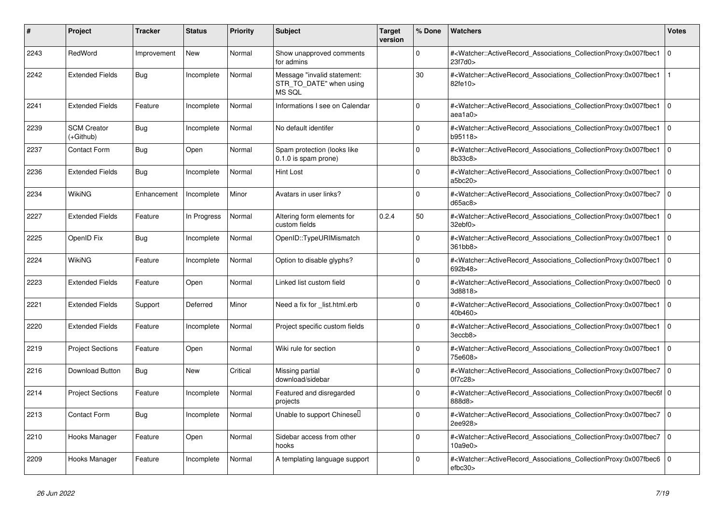| #    | <b>Project</b>                  | <b>Tracker</b> | <b>Status</b> | <b>Priority</b> | <b>Subject</b>                                                   | Target<br>version | % Done       | <b>Watchers</b>                                                                                                                                           | <b>Votes</b>   |
|------|---------------------------------|----------------|---------------|-----------------|------------------------------------------------------------------|-------------------|--------------|-----------------------------------------------------------------------------------------------------------------------------------------------------------|----------------|
| 2243 | RedWord                         | Improvement    | <b>New</b>    | Normal          | Show unapproved comments<br>for admins                           |                   | $\Omega$     | # <watcher::activerecord_associations_collectionproxy:0x007fbec1<br>23f7d0&gt;</watcher::activerecord_associations_collectionproxy:0x007fbec1<br>         | $\overline{0}$ |
| 2242 | <b>Extended Fields</b>          | Bug            | Incomplete    | Normal          | Message "invalid statement:<br>STR_TO_DATE" when using<br>MS SQL |                   | 30           | # <watcher::activerecord_associations_collectionproxy:0x007fbec1<br>82fe10&gt;</watcher::activerecord_associations_collectionproxy:0x007fbec1<br>         |                |
| 2241 | <b>Extended Fields</b>          | Feature        | Incomplete    | Normal          | Informations I see on Calendar                                   |                   | $\Omega$     | # <watcher::activerecord associations="" collectionproxy:0x007fbec1<br="">aea1a0&gt;</watcher::activerecord>                                              | $\overline{0}$ |
| 2239 | <b>SCM Creator</b><br>(+Github) | Bug            | Incomplete    | Normal          | No default identifer                                             |                   | $\Omega$     | # <watcher::activerecord associations="" collectionproxy:0x007fbec1<br="">b95118&gt;</watcher::activerecord>                                              | $\Omega$       |
| 2237 | <b>Contact Form</b>             | Bug            | Open          | Normal          | Spam protection (looks like<br>0.1.0 is spam prone)              |                   | $\Omega$     | # <watcher::activerecord associations="" collectionproxy:0x007fbec1<br="">8b33c8&gt;</watcher::activerecord>                                              | 0              |
| 2236 | <b>Extended Fields</b>          | Bug            | Incomplete    | Normal          | Hint Lost                                                        |                   | $\Omega$     | # <watcher::activerecord associations="" collectionproxy:0x007fbec1<br="">a5bc20&gt;</watcher::activerecord>                                              | $\overline{0}$ |
| 2234 | <b>WikiNG</b>                   | Enhancement    | Incomplete    | Minor           | Avatars in user links?                                           |                   | $\Omega$     | # <watcher::activerecord_associations_collectionproxy:0x007fbec7<br>d65ac8</watcher::activerecord_associations_collectionproxy:0x007fbec7<br>             | 0              |
| 2227 | <b>Extended Fields</b>          | Feature        | In Progress   | Normal          | Altering form elements for<br>custom fields                      | 0.2.4             | 50           | # <watcher::activerecord_associations_collectionproxy:0x007fbec1<br>32ebf0&gt;</watcher::activerecord_associations_collectionproxy:0x007fbec1<br>         | l O            |
| 2225 | OpenID Fix                      | Bug            | Incomplete    | Normal          | OpenID::TypeURIMismatch                                          |                   | $\mathbf 0$  | # <watcher::activerecord_associations_collectionproxy:0x007fbec1<br>361bb8&gt;</watcher::activerecord_associations_collectionproxy:0x007fbec1<br>         | $\overline{0}$ |
| 2224 | WikiNG                          | Feature        | Incomplete    | Normal          | Option to disable glyphs?                                        |                   | $\Omega$     | # <watcher::activerecord_associations_collectionproxy:0x007fbec1<br>692b48&gt;</watcher::activerecord_associations_collectionproxy:0x007fbec1<br>         | $\Omega$       |
| 2223 | <b>Extended Fields</b>          | Feature        | Open          | Normal          | Linked list custom field                                         |                   | $\Omega$     | # <watcher::activerecord associations="" collectionproxy:0x007fbec0<br="">3d8818&gt;</watcher::activerecord>                                              | $\Omega$       |
| 2221 | <b>Extended Fields</b>          | Support        | Deferred      | Minor           | Need a fix for list.html.erb                                     |                   | $\mathbf 0$  | # <watcher::activerecord_associations_collectionproxy:0x007fbec1<br>40b460&gt;</watcher::activerecord_associations_collectionproxy:0x007fbec1<br>         | 0              |
| 2220 | <b>Extended Fields</b>          | Feature        | Incomplete    | Normal          | Project specific custom fields                                   |                   | 0            | # <watcher::activerecord_associations_collectionproxy:0x007fbec1<br>3eccb8&gt;</watcher::activerecord_associations_collectionproxy:0x007fbec1<br>         | $\Omega$       |
| 2219 | <b>Project Sections</b>         | Feature        | Open          | Normal          | Wiki rule for section                                            |                   | $\Omega$     | # <watcher::activerecord associations="" collectionproxy:0x007fbec1<br="">75e608&gt;</watcher::activerecord>                                              | l o            |
| 2216 | Download Button                 | Bug            | New           | Critical        | Missing partial<br>download/sidebar                              |                   | $\Omega$     | # <watcher::activerecord_associations_collectionproxy:0x007fbec7<br>0f7c28&gt;</watcher::activerecord_associations_collectionproxy:0x007fbec7<br>         | $\overline{0}$ |
| 2214 | <b>Project Sections</b>         | Feature        | Incomplete    | Normal          | Featured and disregarded<br>projects                             |                   | $\mathbf{0}$ | # <watcher::activerecord_associations_collectionproxy:0x007fbec6f 0<br=""  ="">888d8&gt;</watcher::activerecord_associations_collectionproxy:0x007fbec6f> |                |
| 2213 | Contact Form                    | <b>Bug</b>     | Incomplete    | Normal          | Unable to support Chinesel                                       |                   | $\Omega$     | # <watcher::activerecord_associations_collectionproxy:0x007fbec7<br>2ee928&gt;</watcher::activerecord_associations_collectionproxy:0x007fbec7<br>         | l o            |
| 2210 | Hooks Manager                   | Feature        | Open          | Normal          | Sidebar access from other<br>hooks                               |                   | $\Omega$     | # <watcher::activerecord associations="" collectionproxy:0x007fbec7<br="">10a9e0</watcher::activerecord>                                                  | $\Omega$       |
| 2209 | Hooks Manager                   | Feature        | Incomplete    | Normal          | A templating language support                                    |                   | $\Omega$     | # <watcher::activerecord_associations_collectionproxy:0x007fbec6<br>efbc30&gt;</watcher::activerecord_associations_collectionproxy:0x007fbec6<br>         | $\overline{0}$ |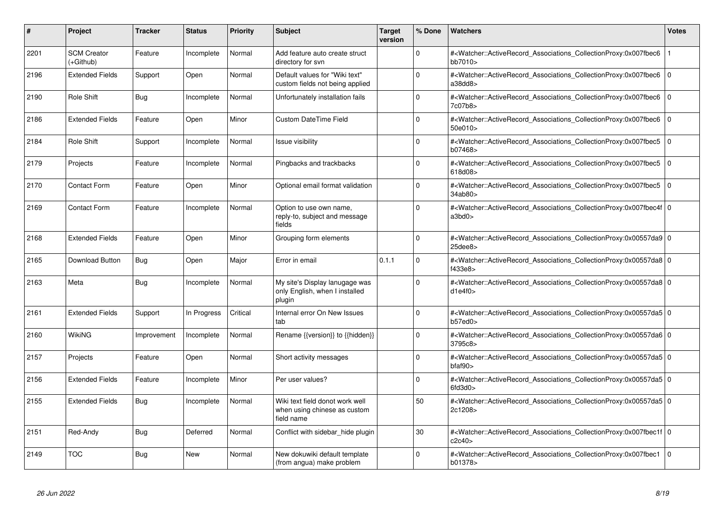| #    | Project                         | <b>Tracker</b> | <b>Status</b> | <b>Priority</b> | <b>Subject</b>                                                                | <b>Target</b><br>version | % Done   | <b>Watchers</b>                                                                                                                                                                | Votes          |
|------|---------------------------------|----------------|---------------|-----------------|-------------------------------------------------------------------------------|--------------------------|----------|--------------------------------------------------------------------------------------------------------------------------------------------------------------------------------|----------------|
| 2201 | <b>SCM Creator</b><br>(+Github) | Feature        | Incomplete    | Normal          | Add feature auto create struct<br>directory for svn                           |                          | $\Omega$ | # <watcher::activerecord associations="" collectionproxy:0x007fbec6<br="">bb7010&gt;</watcher::activerecord>                                                                   |                |
| 2196 | <b>Extended Fields</b>          | Support        | Open          | Normal          | Default values for "Wiki text"<br>custom fields not being applied             |                          | $\Omega$ | # <watcher::activerecord associations="" collectionproxy:0x007fbec6<br="">a38dd8&gt;</watcher::activerecord>                                                                   | $\overline{0}$ |
| 2190 | Role Shift                      | Bug            | Incomplete    | Normal          | Unfortunately installation fails                                              |                          | $\Omega$ | # <watcher::activerecord associations="" collectionproxy:0x007fbec6<br="">7c07b8&gt;</watcher::activerecord>                                                                   | 0              |
| 2186 | <b>Extended Fields</b>          | Feature        | Open          | Minor           | <b>Custom DateTime Field</b>                                                  |                          | $\Omega$ | # <watcher::activerecord_associations_collectionproxy:0x007fbec6<br>50e010&gt;</watcher::activerecord_associations_collectionproxy:0x007fbec6<br>                              | $\overline{0}$ |
| 2184 | Role Shift                      | Support        | Incomplete    | Normal          | <b>Issue visibility</b>                                                       |                          | $\Omega$ | # <watcher::activerecord_associations_collectionproxy:0x007fbec5<br>b07468&gt;</watcher::activerecord_associations_collectionproxy:0x007fbec5<br>                              | $\overline{0}$ |
| 2179 | Projects                        | Feature        | Incomplete    | Normal          | Pingbacks and trackbacks                                                      |                          | $\Omega$ | # <watcher::activerecord_associations_collectionproxy:0x007fbec5<br>618d08&gt;</watcher::activerecord_associations_collectionproxy:0x007fbec5<br>                              | $\overline{0}$ |
| 2170 | <b>Contact Form</b>             | Feature        | Open          | Minor           | Optional email format validation                                              |                          | $\Omega$ | # <watcher::activerecord_associations_collectionproxy:0x007fbec5<br>34ab80<sub>&gt;</sub></watcher::activerecord_associations_collectionproxy:0x007fbec5<br>                   | $\overline{0}$ |
| 2169 | Contact Form                    | Feature        | Incomplete    | Normal          | Option to use own name,<br>reply-to, subject and message<br>fields            |                          | $\Omega$ | # <watcher::activerecord_associations_collectionproxy:0x007fbec4f 0<br=""  ="">a3bd0&gt;</watcher::activerecord_associations_collectionproxy:0x007fbec4f>                      |                |
| 2168 | <b>Extended Fields</b>          | Feature        | Open          | Minor           | Grouping form elements                                                        |                          | $\Omega$ | # <watcher::activerecord_associations_collectionproxy:0x00557da9 0<br=""  =""><math>25</math>dee<math>8</math></watcher::activerecord_associations_collectionproxy:0x00557da9> |                |
| 2165 | Download Button                 | Bug            | Open          | Major           | Error in email                                                                | 0.1.1                    | $\Omega$ | # <watcher::activerecord_associations_collectionproxy:0x00557da8 0<br=""  ="">f433e8&gt;</watcher::activerecord_associations_collectionproxy:0x00557da8>                       |                |
| 2163 | Meta                            | Bug            | Incomplete    | Normal          | My site's Display lanugage was<br>only English, when I installed<br>plugin    |                          | $\Omega$ | # <watcher::activerecord_associations_collectionproxy:0x00557da8 0<br=""  ="">d1e4f0&gt;</watcher::activerecord_associations_collectionproxy:0x00557da8>                       |                |
| 2161 | <b>Extended Fields</b>          | Support        | In Progress   | Critical        | Internal error On New Issues<br>tab                                           |                          | $\Omega$ | # <watcher::activerecord 0<br="" associations="" collectionproxy:0x00557da5=""  ="">b57ed0</watcher::activerecord>                                                             |                |
| 2160 | WikiNG                          | Improvement    | Incomplete    | Normal          | Rename {{version}} to {{hidden}}                                              |                          | $\Omega$ | # <watcher::activerecord_associations_collectionproxy:0x00557da6 0<br="">3795c8&gt;</watcher::activerecord_associations_collectionproxy:0x00557da6>                            |                |
| 2157 | Projects                        | Feature        | Open          | Normal          | Short activity messages                                                       |                          | $\Omega$ | # <watcher::activerecord_associations_collectionproxy:0x00557da5 0<br=""  ="">bfaf90</watcher::activerecord_associations_collectionproxy:0x00557da5>                           |                |
| 2156 | <b>Extended Fields</b>          | Feature        | Incomplete    | Minor           | Per user values?                                                              |                          | $\Omega$ | # <watcher::activerecord_associations_collectionproxy:0x00557da5 0<br=""  ="">6fd3d0</watcher::activerecord_associations_collectionproxy:0x00557da5>                           |                |
| 2155 | <b>Extended Fields</b>          | Bug            | Incomplete    | Normal          | Wiki text field donot work well<br>when using chinese as custom<br>field name |                          | 50       | # <watcher::activerecord_associations_collectionproxy:0x00557da5 0<br="">2c1208&gt;</watcher::activerecord_associations_collectionproxy:0x00557da5>                            |                |
| 2151 | Red-Andy                        | Bug            | Deferred      | Normal          | Conflict with sidebar_hide plugin                                             |                          | 30       | # <watcher::activerecord_associations_collectionproxy:0x007fbec1f 0<br=""  ="">c2c40</watcher::activerecord_associations_collectionproxy:0x007fbec1f>                          |                |
| 2149 | <b>TOC</b>                      | Bug            | <b>New</b>    | Normal          | New dokuwiki default template<br>(from angua) make problem                    |                          | $\Omega$ | # <watcher::activerecord_associations_collectionproxy:0x007fbec1<br>b01378&gt;</watcher::activerecord_associations_collectionproxy:0x007fbec1<br>                              | $\overline{0}$ |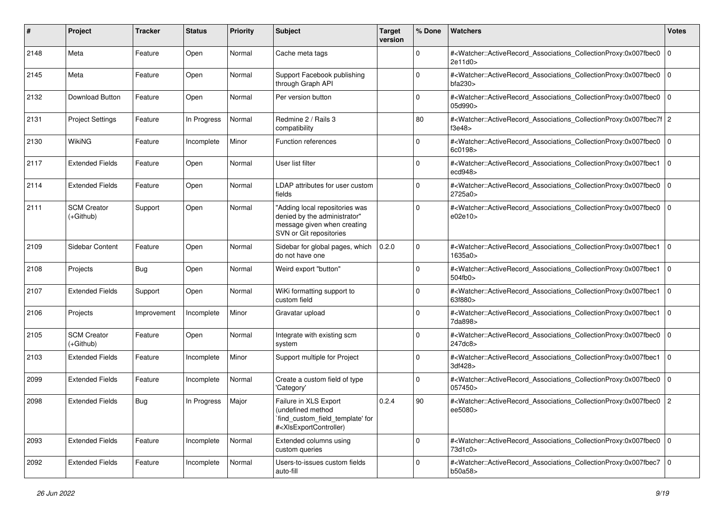| #    | Project                           | Tracker     | <b>Status</b> | <b>Priority</b> | <b>Subject</b>                                                                                                                                                                                                                                                                                                                         | <b>Target</b><br>version | % Done      | Watchers                                                                                                                                                 | <b>Votes</b>   |
|------|-----------------------------------|-------------|---------------|-----------------|----------------------------------------------------------------------------------------------------------------------------------------------------------------------------------------------------------------------------------------------------------------------------------------------------------------------------------------|--------------------------|-------------|----------------------------------------------------------------------------------------------------------------------------------------------------------|----------------|
| 2148 | Meta                              | Feature     | Open          | Normal          | Cache meta tags                                                                                                                                                                                                                                                                                                                        |                          | 0           | # <watcher::activerecord_associations_collectionproxy:0x007fbec0<br>2e11d0&gt;</watcher::activerecord_associations_collectionproxy:0x007fbec0<br>        | $\overline{0}$ |
| 2145 | Meta                              | Feature     | Open          | Normal          | Support Facebook publishing<br>through Graph API                                                                                                                                                                                                                                                                                       |                          | $\Omega$    | # <watcher::activerecord_associations_collectionproxy:0x007fbec0<br>bfa230</watcher::activerecord_associations_collectionproxy:0x007fbec0<br>            | $\mathbf 0$    |
| 2132 | Download Button                   | Feature     | Open          | Normal          | Per version button                                                                                                                                                                                                                                                                                                                     |                          | $\Omega$    | # <watcher::activerecord_associations_collectionproxy:0x007fbec0 0<br=""  ="">05d990&gt;</watcher::activerecord_associations_collectionproxy:0x007fbec0> |                |
| 2131 | <b>Project Settings</b>           | Feature     | In Progress   | Normal          | Redmine 2 / Rails 3<br>compatibility                                                                                                                                                                                                                                                                                                   |                          | 80          | # <watcher::activerecord_associations_collectionproxy:0x007fbec7f 2<br="">f3e48</watcher::activerecord_associations_collectionproxy:0x007fbec7f>         |                |
| 2130 | WikiNG                            | Feature     | Incomplete    | Minor           | <b>Function references</b>                                                                                                                                                                                                                                                                                                             |                          | $\mathbf 0$ | # <watcher::activerecord_associations_collectionproxy:0x007fbec0 0<br=""  ="">6c0198&gt;</watcher::activerecord_associations_collectionproxy:0x007fbec0> |                |
| 2117 | <b>Extended Fields</b>            | Feature     | Open          | Normal          | User list filter                                                                                                                                                                                                                                                                                                                       |                          | $\Omega$    | # <watcher::activerecord_associations_collectionproxy:0x007fbec1<br>ecd948&gt;</watcher::activerecord_associations_collectionproxy:0x007fbec1<br>        | $\overline{0}$ |
| 2114 | <b>Extended Fields</b>            | Feature     | Open          | Normal          | LDAP attributes for user custom<br>fields                                                                                                                                                                                                                                                                                              |                          | $\Omega$    | # <watcher::activerecord_associations_collectionproxy:0x007fbec0<br>2725a0&gt;</watcher::activerecord_associations_collectionproxy:0x007fbec0<br>        | l 0            |
| 2111 | <b>SCM Creator</b><br>$(+Github)$ | Support     | Open          | Normal          | "Adding local repositories was<br>denied by the administrator"<br>message given when creating<br>SVN or Git repositories                                                                                                                                                                                                               |                          | $\mathbf 0$ | # <watcher::activerecord_associations_collectionproxy:0x007fbec0 0<br=""  ="">e02e10</watcher::activerecord_associations_collectionproxy:0x007fbec0>     |                |
| 2109 | Sidebar Content                   | Feature     | Open          | Normal          | Sidebar for global pages, which<br>do not have one                                                                                                                                                                                                                                                                                     | 0.2.0                    | $\mathbf 0$ | # <watcher::activerecord_associations_collectionproxy:0x007fbec1<br>1635a0&gt;</watcher::activerecord_associations_collectionproxy:0x007fbec1<br>        | l O            |
| 2108 | Projects                          | Bug         | Open          | Normal          | Weird export "button"                                                                                                                                                                                                                                                                                                                  |                          | $\mathbf 0$ | # <watcher::activerecord_associations_collectionproxy:0x007fbec1<br>504fb0</watcher::activerecord_associations_collectionproxy:0x007fbec1<br>            | l 0            |
| 2107 | <b>Extended Fields</b>            | Support     | Open          | Normal          | WiKi formatting support to<br>custom field                                                                                                                                                                                                                                                                                             |                          | $\mathbf 0$ | # <watcher::activerecord_associations_collectionproxy:0x007fbec1<br>63f880&gt;</watcher::activerecord_associations_collectionproxy:0x007fbec1<br>        | l O            |
| 2106 | Projects                          | Improvement | Incomplete    | Minor           | Gravatar upload                                                                                                                                                                                                                                                                                                                        |                          | $\Omega$    | # <watcher::activerecord_associations_collectionproxy:0x007fbec1<br>7da898&gt;</watcher::activerecord_associations_collectionproxy:0x007fbec1<br>        | $\Omega$       |
| 2105 | <b>SCM Creator</b><br>$(+Github)$ | Feature     | Open          | Normal          | Integrate with existing scm<br>system                                                                                                                                                                                                                                                                                                  |                          | $\Omega$    | # <watcher::activerecord_associations_collectionproxy:0x007fbec0<br>247dc8&gt;</watcher::activerecord_associations_collectionproxy:0x007fbec0<br>        | $\overline{0}$ |
| 2103 | <b>Extended Fields</b>            | Feature     | Incomplete    | Minor           | Support multiple for Project                                                                                                                                                                                                                                                                                                           |                          | $\mathbf 0$ | # <watcher::activerecord_associations_collectionproxy:0x007fbec1<br>3df428&gt;</watcher::activerecord_associations_collectionproxy:0x007fbec1<br>        | $\overline{0}$ |
| 2099 | <b>Extended Fields</b>            | Feature     | Incomplete    | Normal          | Create a custom field of type<br>'Category'                                                                                                                                                                                                                                                                                            |                          | $\mathbf 0$ | # <watcher::activerecord_associations_collectionproxy:0x007fbec0<br>057450&gt;</watcher::activerecord_associations_collectionproxy:0x007fbec0<br>        | $\mathbf 0$    |
| 2098 | <b>Extended Fields</b>            | <b>Bug</b>  | In Progress   | Major           | Failure in XLS Export<br>(undefined method<br>`find_custom_field_template' for<br># <xisexportcontroller)< td=""><td>0.2.4</td><td>90</td><td>#<watcher::activerecord_associations_collectionproxy:0x007fbec0 2<br="">ee5080&gt;</watcher::activerecord_associations_collectionproxy:0x007fbec0></td><td></td></xisexportcontroller)<> | 0.2.4                    | 90          | # <watcher::activerecord_associations_collectionproxy:0x007fbec0 2<br="">ee5080&gt;</watcher::activerecord_associations_collectionproxy:0x007fbec0>      |                |
| 2093 | <b>Extended Fields</b>            | Feature     | Incomplete    | Normal          | Extended columns using<br>custom queries                                                                                                                                                                                                                                                                                               |                          | $\mathsf 0$ | # <watcher::activerecord_associations_collectionproxy:0x007fbec0 0<br="">73d1c0&gt;</watcher::activerecord_associations_collectionproxy:0x007fbec0>      |                |
| 2092 | <b>Extended Fields</b>            | Feature     | Incomplete    | Normal          | Users-to-issues custom fields<br>auto-fill                                                                                                                                                                                                                                                                                             |                          | $\mathbf 0$ | # <watcher::activerecord_associations_collectionproxy:0x007fbec7 0<br=""  ="">b50a58&gt;</watcher::activerecord_associations_collectionproxy:0x007fbec7> |                |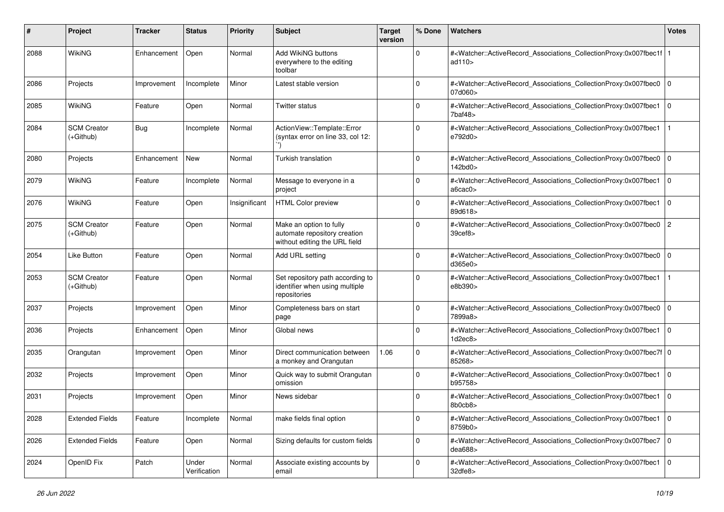| #    | Project                           | Tracker     | <b>Status</b>         | <b>Priority</b> | <b>Subject</b>                                                                           | <b>Target</b><br>version | % Done      | Watchers                                                                                                                                                      | <b>Votes</b>   |
|------|-----------------------------------|-------------|-----------------------|-----------------|------------------------------------------------------------------------------------------|--------------------------|-------------|---------------------------------------------------------------------------------------------------------------------------------------------------------------|----------------|
| 2088 | <b>WikiNG</b>                     | Enhancement | Open                  | Normal          | Add WikiNG buttons<br>everywhere to the editing<br>toolbar                               |                          | $\mathbf 0$ | # <watcher::activerecord_associations_collectionproxy:0x007fbec1f  <br="">ad<math>110</math></watcher::activerecord_associations_collectionproxy:0x007fbec1f> |                |
| 2086 | Projects                          | Improvement | Incomplete            | Minor           | Latest stable version                                                                    |                          | $\Omega$    | # <watcher::activerecord_associations_collectionproxy:0x007fbec0 0<br="">07d060&gt;</watcher::activerecord_associations_collectionproxy:0x007fbec0>           |                |
| 2085 | <b>WikiNG</b>                     | Feature     | Open                  | Normal          | <b>Twitter status</b>                                                                    |                          | $\Omega$    | # <watcher::activerecord_associations_collectionproxy:0x007fbec1<br>7baf48&gt;</watcher::activerecord_associations_collectionproxy:0x007fbec1<br>             | l O            |
| 2084 | <b>SCM Creator</b><br>$(+Github)$ | Bug         | Incomplete            | Normal          | ActionView::Template::Error<br>(syntax error on line 33, col 12:                         |                          | $\Omega$    | # <watcher::activerecord_associations_collectionproxy:0x007fbec1<br>e792d0&gt;</watcher::activerecord_associations_collectionproxy:0x007fbec1<br>             |                |
| 2080 | Projects                          | Enhancement | New                   | Normal          | Turkish translation                                                                      |                          | $\Omega$    | # <watcher::activerecord_associations_collectionproxy:0x007fbec0<br>142bd0&gt;</watcher::activerecord_associations_collectionproxy:0x007fbec0<br>             | $\mathbf 0$    |
| 2079 | <b>WikiNG</b>                     | Feature     | Incomplete            | Normal          | Message to everyone in a<br>project                                                      |                          | $\Omega$    | # <watcher::activerecord_associations_collectionproxy:0x007fbec1<br>a6cac0&gt;</watcher::activerecord_associations_collectionproxy:0x007fbec1<br>             | $\mathbf 0$    |
| 2076 | <b>WikiNG</b>                     | Feature     | Open                  | Insignificant   | <b>HTML Color preview</b>                                                                |                          | $\Omega$    | # <watcher::activerecord_associations_collectionproxy:0x007fbec1 0<br=""  ="">89d618&gt;</watcher::activerecord_associations_collectionproxy:0x007fbec1>      |                |
| 2075 | <b>SCM Creator</b><br>$(+Github)$ | Feature     | Open                  | Normal          | Make an option to fully<br>automate repository creation<br>without editing the URL field |                          | $\Omega$    | # <watcher::activerecord_associations_collectionproxy:0x007fbec0<br>39cef8</watcher::activerecord_associations_collectionproxy:0x007fbec0<br>                 | $\overline{c}$ |
| 2054 | <b>Like Button</b>                | Feature     | Open                  | Normal          | Add URL setting                                                                          |                          | $\Omega$    | # <watcher::activerecord_associations_collectionproxy:0x007fbec0<br>d365e0&gt;</watcher::activerecord_associations_collectionproxy:0x007fbec0<br>             | $\mathbf 0$    |
| 2053 | <b>SCM Creator</b><br>$(+Github)$ | Feature     | Open                  | Normal          | Set repository path according to<br>identifier when using multiple<br>repositories       |                          | $\Omega$    | # <watcher::activerecord_associations_collectionproxy:0x007fbec1<br>e8b390&gt;</watcher::activerecord_associations_collectionproxy:0x007fbec1<br>             |                |
| 2037 | Projects                          | Improvement | Open                  | Minor           | Completeness bars on start<br>page                                                       |                          | $\Omega$    | # <watcher::activerecord_associations_collectionproxy:0x007fbec0<br>7899a8&gt;</watcher::activerecord_associations_collectionproxy:0x007fbec0<br>             | $\mathbf 0$    |
| 2036 | Projects                          | Enhancement | Open                  | Minor           | Global news                                                                              |                          | $\mathbf 0$ | # <watcher::activerecord_associations_collectionproxy:0x007fbec1<br>1d2ec8&gt;</watcher::activerecord_associations_collectionproxy:0x007fbec1<br>             | $\mathbf 0$    |
| 2035 | Orangutan                         | Improvement | Open                  | Minor           | Direct communication between<br>a monkey and Orangutan                                   | 1.06                     | $\Omega$    | # <watcher::activerecord_associations_collectionproxy:0x007fbec7f 0<br=""  ="">85268&gt;</watcher::activerecord_associations_collectionproxy:0x007fbec7f>     |                |
| 2032 | Projects                          | Improvement | Open                  | Minor           | Quick way to submit Orangutan<br>omission                                                |                          | $\Omega$    | # <watcher::activerecord_associations_collectionproxy:0x007fbec1<br>b95758&gt;</watcher::activerecord_associations_collectionproxy:0x007fbec1<br>             | $\mathbf 0$    |
| 2031 | Projects                          | Improvement | Open                  | Minor           | News sidebar                                                                             |                          | $\Omega$    | # <watcher::activerecord_associations_collectionproxy:0x007fbec1<br>8b0cb8&gt;</watcher::activerecord_associations_collectionproxy:0x007fbec1<br>             | $\mathbf 0$    |
| 2028 | <b>Extended Fields</b>            | Feature     | Incomplete            | Normal          | make fields final option                                                                 |                          | 0           | # <watcher::activerecord associations="" collectionproxy:0x007fbec1<br="">8759b0&gt;</watcher::activerecord>                                                  | 10             |
| 2026 | <b>Extended Fields</b>            | Feature     | Open                  | Normal          | Sizing defaults for custom fields                                                        |                          | $\mathbf 0$ | # <watcher::activerecord_associations_collectionproxy:0x007fbec7 0<br="">dea688</watcher::activerecord_associations_collectionproxy:0x007fbec7>               |                |
| 2024 | OpenID Fix                        | Patch       | Under<br>Verification | Normal          | Associate existing accounts by<br>email                                                  |                          | 0           | # <watcher::activerecord 0<br="" associations="" collectionproxy:0x007fbec1="">32dfe8&gt;</watcher::activerecord>                                             |                |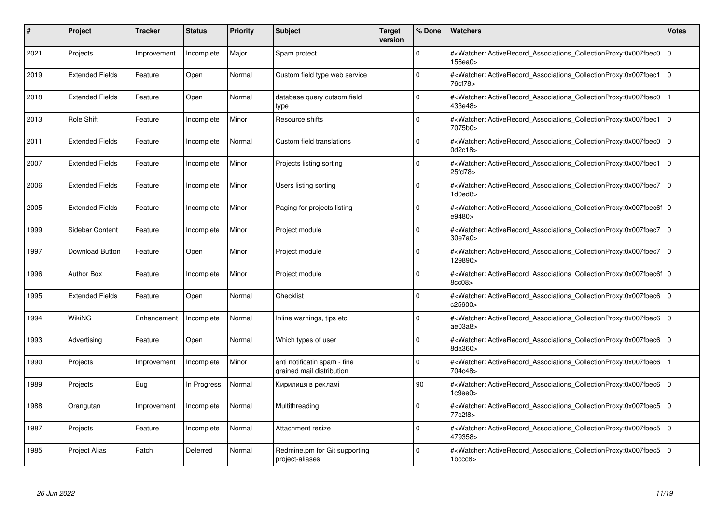| #    | Project                | <b>Tracker</b> | <b>Status</b> | <b>Priority</b> | <b>Subject</b>                                            | <b>Target</b><br>version | % Done      | <b>Watchers</b>                                                                                                                                          | <b>Votes</b> |
|------|------------------------|----------------|---------------|-----------------|-----------------------------------------------------------|--------------------------|-------------|----------------------------------------------------------------------------------------------------------------------------------------------------------|--------------|
| 2021 | Projects               | Improvement    | Incomplete    | Major           | Spam protect                                              |                          | $\Omega$    | # <watcher::activerecord associations="" collectionproxy:0x007fbec0<br="">156ea0&gt;</watcher::activerecord>                                             | $\mathbf 0$  |
| 2019 | <b>Extended Fields</b> | Feature        | Open          | Normal          | Custom field type web service                             |                          | $\Omega$    | # <watcher::activerecord_associations_collectionproxy:0x007fbec1<br>76cf78&gt;</watcher::activerecord_associations_collectionproxy:0x007fbec1<br>        | $\mathbf 0$  |
| 2018 | <b>Extended Fields</b> | Feature        | Open          | Normal          | database query cutsom field<br>type                       |                          | $\Omega$    | # <watcher::activerecord associations="" collectionproxy:0x007fbec0<br="">433e48&gt;</watcher::activerecord>                                             |              |
| 2013 | <b>Role Shift</b>      | Feature        | Incomplete    | Minor           | Resource shifts                                           |                          | $\Omega$    | # <watcher::activerecord 0<br="" associations="" collectionproxy:0x007fbec1=""  ="">7075b0&gt;</watcher::activerecord>                                   |              |
| 2011 | <b>Extended Fields</b> | Feature        | Incomplete    | Normal          | Custom field translations                                 |                          | $\Omega$    | # <watcher::activerecord_associations_collectionproxy:0x007fbec0<br>0d2c18&gt;</watcher::activerecord_associations_collectionproxy:0x007fbec0<br>        | $\mathbf 0$  |
| 2007 | <b>Extended Fields</b> | Feature        | Incomplete    | Minor           | Projects listing sorting                                  |                          | $\Omega$    | # <watcher::activerecord associations="" collectionproxy:0x007fbec1<br="">25fd78&gt;</watcher::activerecord>                                             | $\Omega$     |
| 2006 | <b>Extended Fields</b> | Feature        | Incomplete    | Minor           | Users listing sorting                                     |                          | $\Omega$    | # <watcher::activerecord_associations_collectionproxy:0x007fbec7 0<br=""  ="">1d0ed8&gt;</watcher::activerecord_associations_collectionproxy:0x007fbec7> |              |
| 2005 | <b>Extended Fields</b> | Feature        | Incomplete    | Minor           | Paging for projects listing                               |                          | $\Omega$    | # <watcher::activerecord 0<br="" associations="" collectionproxy:0x007fbec6f=""  ="">e9480&gt;</watcher::activerecord>                                   |              |
| 1999 | Sidebar Content        | Feature        | Incomplete    | Minor           | Project module                                            |                          | $\Omega$    | # <watcher::activerecord_associations_collectionproxy:0x007fbec7<br>30e7a0&gt;</watcher::activerecord_associations_collectionproxy:0x007fbec7<br>        | l o          |
| 1997 | <b>Download Button</b> | Feature        | Open          | Minor           | Project module                                            |                          | $\Omega$    | # <watcher::activerecord_associations_collectionproxy:0x007fbec7 0<br=""  ="">129890&gt;</watcher::activerecord_associations_collectionproxy:0x007fbec7> |              |
| 1996 | <b>Author Box</b>      | Feature        | Incomplete    | Minor           | Project module                                            |                          | $\Omega$    | # <watcher::activerecord 0<br="" associations="" collectionproxy:0x007fbec6f=""  ="">8cc08&gt;</watcher::activerecord>                                   |              |
| 1995 | <b>Extended Fields</b> | Feature        | Open          | Normal          | Checklist                                                 |                          | $\Omega$    | # <watcher::activerecord associations="" collectionproxy:0x007fbec6=""  <br="">c25600&gt;</watcher::activerecord>                                        | $\Omega$     |
| 1994 | WikiNG                 | Enhancement    | Incomplete    | Normal          | Inline warnings, tips etc                                 |                          | $\Omega$    | # <watcher::activerecord associations="" collectionproxy:0x007fbec6<br="">ae03a8</watcher::activerecord>                                                 | $\mathbf 0$  |
| 1993 | Advertising            | Feature        | Open          | Normal          | Which types of user                                       |                          | $\mathbf 0$ | # <watcher::activerecord_associations_collectionproxy:0x007fbec6<br>8da360&gt;</watcher::activerecord_associations_collectionproxy:0x007fbec6<br>        | $\mathbf 0$  |
| 1990 | Projects               | Improvement    | Incomplete    | Minor           | anti notificatin spam - fine<br>grained mail distribution |                          | $\Omega$    | # <watcher::activerecord_associations_collectionproxy:0x007fbec6<br>704c48&gt;</watcher::activerecord_associations_collectionproxy:0x007fbec6<br>        |              |
| 1989 | Projects               | Bug            | In Progress   | Normal          | Кирилиця в рекламі                                        |                          | 90          | # <watcher::activerecord associations="" collectionproxy:0x007fbec6=""  <br="">1c9ee0</watcher::activerecord>                                            | $\mathbf 0$  |
| 1988 | Orangutan              | Improvement    | Incomplete    | Normal          | Multithreading                                            |                          | $\Omega$    | # <watcher::activerecord_associations_collectionproxy:0x007fbec5  <br="">77c2f8&gt;</watcher::activerecord_associations_collectionproxy:0x007fbec5>      | $\mathbf 0$  |
| 1987 | Projects               | Feature        | Incomplete    | Normal          | Attachment resize                                         |                          | $\Omega$    | # <watcher::activerecord associations="" collectionproxy:0x007fbec5<br="">479358&gt;</watcher::activerecord>                                             | $\mathbf{0}$ |
| 1985 | <b>Project Alias</b>   | Patch          | Deferred      | Normal          | Redmine.pm for Git supporting<br>project-aliases          |                          | $\Omega$    | # <watcher::activerecord associations="" collectionproxy:0x007fbec5=""  <br="">1bccc8</watcher::activerecord>                                            | $\mathbf 0$  |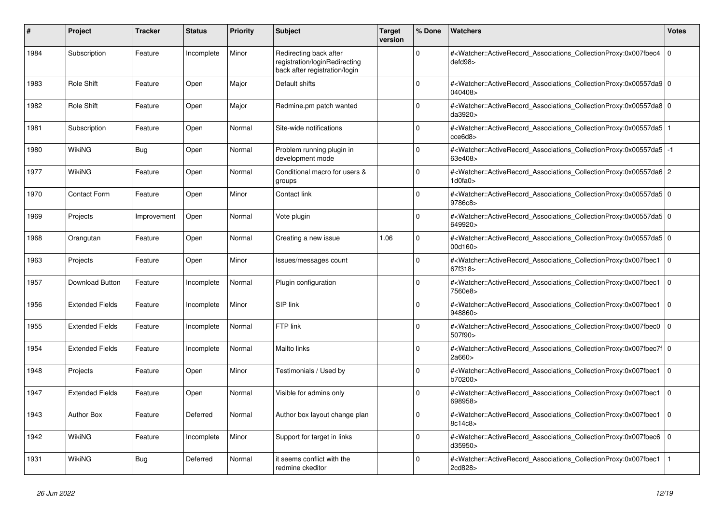| #    | Project                | <b>Tracker</b> | <b>Status</b> | Priority | <b>Subject</b>                                                                           | <b>Target</b><br>version | % Done   | Watchers                                                                                                                                                  | <b>Votes</b>   |
|------|------------------------|----------------|---------------|----------|------------------------------------------------------------------------------------------|--------------------------|----------|-----------------------------------------------------------------------------------------------------------------------------------------------------------|----------------|
| 1984 | Subscription           | Feature        | Incomplete    | Minor    | Redirecting back after<br>registration/loginRedirecting<br>back after registration/login |                          | $\Omega$ | # <watcher::activerecord_associations_collectionproxy:0x007fbec4<br>defd98&gt;</watcher::activerecord_associations_collectionproxy:0x007fbec4<br>         | $\mathbf 0$    |
| 1983 | <b>Role Shift</b>      | Feature        | Open          | Major    | Default shifts                                                                           |                          | O        | # <watcher::activerecord 0<br="" associations="" collectionproxy:0x00557da9=""  ="">040408&gt;</watcher::activerecord>                                    |                |
| 1982 | Role Shift             | Feature        | Open          | Major    | Redmine.pm patch wanted                                                                  |                          | $\Omega$ | # <watcher::activerecord 0<br="" associations="" collectionproxy:0x00557da8=""  ="">da3920&gt;</watcher::activerecord>                                    |                |
| 1981 | Subscription           | Feature        | Open          | Normal   | Site-wide notifications                                                                  |                          | $\Omega$ | # <watcher::activerecord_associations_collectionproxy:0x00557da5<br>cce6d8&gt;</watcher::activerecord_associations_collectionproxy:0x00557da5<br>         |                |
| 1980 | <b>WikiNG</b>          | Bug            | Open          | Normal   | Problem running plugin in<br>development mode                                            |                          | $\Omega$ | # <watcher::activerecord associations="" collectionproxy:0x00557da5<br="">63e408&gt;</watcher::activerecord>                                              | $-1$           |
| 1977 | WikiNG                 | Feature        | Open          | Normal   | Conditional macro for users &<br>groups                                                  |                          | $\Omega$ | # <watcher::activerecord 2<br="" associations="" collectionproxy:0x00557da6="">1d0fa0&gt;</watcher::activerecord>                                         |                |
| 1970 | <b>Contact Form</b>    | Feature        | Open          | Minor    | Contact link                                                                             |                          | $\Omega$ | # <watcher::activerecord_associations_collectionproxy:0x00557da5 0<br=""  ="">9786c8&gt;</watcher::activerecord_associations_collectionproxy:0x00557da5>  |                |
| 1969 | Projects               | Improvement    | Open          | Normal   | Vote plugin                                                                              |                          | $\Omega$ | # <watcher::activerecord 0<br="" associations="" collectionproxy:0x00557da5=""  ="">649920&gt;</watcher::activerecord>                                    |                |
| 1968 | Orangutan              | Feature        | Open          | Normal   | Creating a new issue                                                                     | 1.06                     | $\Omega$ | # <watcher::activerecord_associations_collectionproxy:0x00557da5 0<br=""  ="">00d160&gt;</watcher::activerecord_associations_collectionproxy:0x00557da5>  |                |
| 1963 | Projects               | Feature        | Open          | Minor    | Issues/messages count                                                                    |                          | $\Omega$ | # <watcher::activerecord_associations_collectionproxy:0x007fbec1<br>67f318&gt;</watcher::activerecord_associations_collectionproxy:0x007fbec1<br>         | $\overline{0}$ |
| 1957 | Download Button        | Feature        | Incomplete    | Normal   | Plugin configuration                                                                     |                          | $\Omega$ | # <watcher::activerecord_associations_collectionproxy:0x007fbec1<br>7560e8&gt;</watcher::activerecord_associations_collectionproxy:0x007fbec1<br>         | $\overline{0}$ |
| 1956 | <b>Extended Fields</b> | Feature        | Incomplete    | Minor    | SIP link                                                                                 |                          | $\Omega$ | # <watcher::activerecord associations="" collectionproxy:0x007fbec1<br="">948860&gt;</watcher::activerecord>                                              | $\overline{0}$ |
| 1955 | <b>Extended Fields</b> | Feature        | Incomplete    | Normal   | FTP link                                                                                 |                          | ŋ        | # <watcher::activerecord associations="" collectionproxy:0x007fbec0<br="">507f90&gt;</watcher::activerecord>                                              | $\Omega$       |
| 1954 | <b>Extended Fields</b> | Feature        | Incomplete    | Normal   | Mailto links                                                                             |                          | $\Omega$ | # <watcher::activerecord_associations_collectionproxy:0x007fbec7f 0<br=""  ="">2a660&gt;</watcher::activerecord_associations_collectionproxy:0x007fbec7f> |                |
| 1948 | Projects               | Feature        | Open          | Minor    | Testimonials / Used by                                                                   |                          | $\Omega$ | # <watcher::activerecord associations="" collectionproxy:0x007fbec1<br="">b70200&gt;</watcher::activerecord>                                              | $\overline{0}$ |
| 1947 | <b>Extended Fields</b> | Feature        | Open          | Normal   | Visible for admins only                                                                  |                          | $\Omega$ | # <watcher::activerecord_associations_collectionproxy:0x007fbec1<br>698958&gt;</watcher::activerecord_associations_collectionproxy:0x007fbec1<br>         | $\Omega$       |
| 1943 | <b>Author Box</b>      | Feature        | Deferred      | Normal   | Author box layout change plan                                                            |                          | $\Omega$ | # <watcher::activerecord_associations_collectionproxy:0x007fbec1<br>8c14c8&gt;</watcher::activerecord_associations_collectionproxy:0x007fbec1<br>         | $\overline{0}$ |
| 1942 | <b>WikiNG</b>          | Feature        | Incomplete    | Minor    | Support for target in links                                                              |                          | $\Omega$ | # <watcher::activerecord_associations_collectionproxy:0x007fbec6<br>d35950&gt;</watcher::activerecord_associations_collectionproxy:0x007fbec6<br>         | $\overline{0}$ |
| 1931 | WikiNG                 | Bug            | Deferred      | Normal   | it seems conflict with the<br>redmine ckeditor                                           |                          | $\Omega$ | # <watcher::activerecord_associations_collectionproxy:0x007fbec1<br>2cd828&gt;</watcher::activerecord_associations_collectionproxy:0x007fbec1<br>         |                |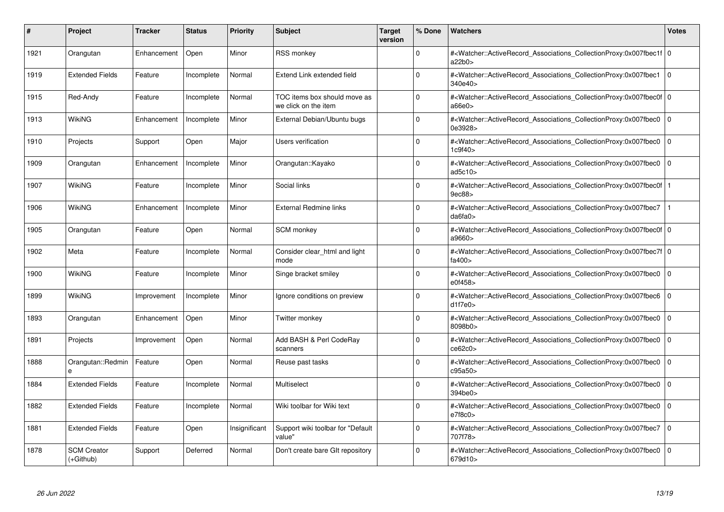| #    | Project                           | <b>Tracker</b> | <b>Status</b> | <b>Priority</b> | <b>Subject</b>                                       | <b>Target</b><br>version | % Done   | <b>Watchers</b>                                                                                                                                           | <b>Votes</b> |
|------|-----------------------------------|----------------|---------------|-----------------|------------------------------------------------------|--------------------------|----------|-----------------------------------------------------------------------------------------------------------------------------------------------------------|--------------|
| 1921 | Orangutan                         | Enhancement    | Open          | Minor           | <b>RSS monkey</b>                                    |                          | $\Omega$ | # <watcher::activerecord 0<br="" associations="" collectionproxy:0x007fbec1f=""  ="">a22b0</watcher::activerecord>                                        |              |
| 1919 | <b>Extended Fields</b>            | Feature        | Incomplete    | Normal          | Extend Link extended field                           |                          | $\Omega$ | # <watcher::activerecord_associations_collectionproxy:0x007fbec1 0<br=""  ="">340e40&gt;</watcher::activerecord_associations_collectionproxy:0x007fbec1>  |              |
| 1915 | Red-Andy                          | Feature        | Incomplete    | Normal          | TOC items box should move as<br>we click on the item |                          | $\Omega$ | # <watcher::activerecord 0<br="" associations="" collectionproxy:0x007fbec0f=""  ="">a66e0</watcher::activerecord>                                        |              |
| 1913 | WikiNG                            | Enhancement    | Incomplete    | Minor           | External Debian/Ubuntu bugs                          |                          | $\Omega$ | # <watcher::activerecord associations="" collectionproxy:0x007fbec0=""  <br="">0e3928&gt;</watcher::activerecord>                                         | $\mathbf 0$  |
| 1910 | Projects                          | Support        | Open          | Major           | Users verification                                   |                          | $\Omega$ | # <watcher::activerecord_associations_collectionproxy:0x007fbec0<br>1c9f40&gt;</watcher::activerecord_associations_collectionproxy:0x007fbec0<br>         | $\Omega$     |
| 1909 | Orangutan                         | Enhancement    | Incomplete    | Minor           | Orangutan::Kayako                                    |                          | $\Omega$ | # <watcher::activerecord associations="" collectionproxy:0x007fbec0<br="">ad5c10</watcher::activerecord>                                                  | $\Omega$     |
| 1907 | <b>WikiNG</b>                     | Feature        | Incomplete    | Minor           | Social links                                         |                          | $\Omega$ | # <watcher::activerecord_associations_collectionproxy:0x007fbec0f  <br="">9ec88</watcher::activerecord_associations_collectionproxy:0x007fbec0f>          |              |
| 1906 | WikiNG                            | Enhancement    | Incomplete    | Minor           | <b>External Redmine links</b>                        |                          | $\Omega$ | # <watcher::activerecord associations="" collectionproxy:0x007fbec7<br="">da6fa0</watcher::activerecord>                                                  |              |
| 1905 | Orangutan                         | Feature        | Open          | Normal          | <b>SCM</b> monkey                                    |                          | $\Omega$ | # <watcher::activerecord_associations_collectionproxy:0x007fbec0f 0<br=""  ="">a9660&gt;</watcher::activerecord_associations_collectionproxy:0x007fbec0f> |              |
| 1902 | Meta                              | Feature        | Incomplete    | Normal          | Consider clear html and light<br>mode                |                          | $\Omega$ | # <watcher::activerecord_associations_collectionproxy:0x007fbec7f 0<br=""  ="">fa400&gt;</watcher::activerecord_associations_collectionproxy:0x007fbec7f> |              |
| 1900 | WikiNG                            | Feature        | Incomplete    | Minor           | Singe bracket smiley                                 |                          | $\Omega$ | # <watcher::activerecord 0<br="" associations="" collectionproxy:0x007fbec0=""  ="">e0f458&gt;</watcher::activerecord>                                    |              |
| 1899 | WikiNG                            | Improvement    | Incomplete    | Minor           | Ignore conditions on preview                         |                          | $\Omega$ | # <watcher::activerecord associations="" collectionproxy:0x007fbec6<br="">d1f7e0</watcher::activerecord>                                                  | $\Omega$     |
| 1893 | Orangutan                         | Enhancement    | Open          | Minor           | Twitter monkey                                       |                          | $\Omega$ | # <watcher::activerecord associations="" collectionproxy:0x007fbec0<br="">8098b0&gt;</watcher::activerecord>                                              | $\mathbf 0$  |
| 1891 | Projects                          | Improvement    | Open          | Normal          | Add BASH & Perl CodeRay<br>scanners                  |                          | $\Omega$ | # <watcher::activerecord_associations_collectionproxy:0x007fbec0<br>ce62c0</watcher::activerecord_associations_collectionproxy:0x007fbec0<br>             | $\mathbf 0$  |
| 1888 | Orangutan::Redmin                 | Feature        | Open          | Normal          | Reuse past tasks                                     |                          | $\Omega$ | # <watcher::activerecord_associations_collectionproxy:0x007fbec0  <br="">c95a50&gt;</watcher::activerecord_associations_collectionproxy:0x007fbec0>       | $\mathbf 0$  |
| 1884 | <b>Extended Fields</b>            | Feature        | Incomplete    | Normal          | Multiselect                                          |                          | $\Omega$ | # <watcher::activerecord associations="" collectionproxy:0x007fbec0<br="">394be0&gt;</watcher::activerecord>                                              | $\mathbf 0$  |
| 1882 | <b>Extended Fields</b>            | Feature        | Incomplete    | Normal          | Wiki toolbar for Wiki text                           |                          | $\Omega$ | # <watcher::activerecord_associations_collectionproxy:0x007fbec0  <br="">e7f8c0</watcher::activerecord_associations_collectionproxy:0x007fbec0>           | $\Omega$     |
| 1881 | <b>Extended Fields</b>            | Feature        | Open          | Insignificant   | Support wiki toolbar for "Default<br>value"          |                          | $\Omega$ | # <watcher::activerecord associations="" collectionproxy:0x007fbec7<br="">707f78&gt;</watcher::activerecord>                                              | $\mathbf{0}$ |
| 1878 | <b>SCM Creator</b><br>$(+Github)$ | Support        | Deferred      | Normal          | Don't create bare GIt repository                     |                          | $\Omega$ | # <watcher::activerecord associations="" collectionproxy:0x007fbec0=""  <br="">679d10&gt;</watcher::activerecord>                                         | $\mathbf 0$  |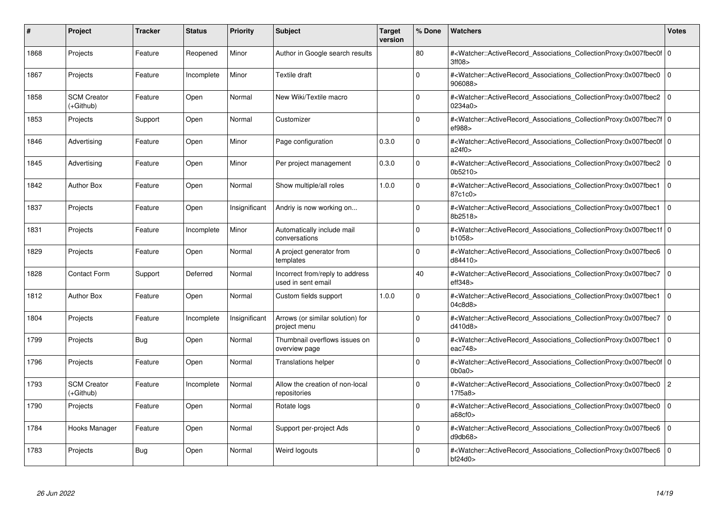| #    | Project                         | Tracker    | <b>Status</b> | <b>Priority</b> | <b>Subject</b>                                        | <b>Target</b><br>version | % Done   | <b>Watchers</b>                                                                                                                                       | <b>Votes</b>   |
|------|---------------------------------|------------|---------------|-----------------|-------------------------------------------------------|--------------------------|----------|-------------------------------------------------------------------------------------------------------------------------------------------------------|----------------|
| 1868 | Projects                        | Feature    | Reopened      | Minor           | Author in Google search results                       |                          | 80       | # <watcher::activerecord 0<br="" associations="" collectionproxy:0x007fbec0f=""  ="">3ff08&gt;</watcher::activerecord>                                |                |
| 1867 | Projects                        | Feature    | Incomplete    | Minor           | Textile draft                                         |                          | $\Omega$ | # <watcher::activerecord 0<br="" associations="" collectionproxy:0x007fbec0=""  ="">906088&gt;</watcher::activerecord>                                |                |
| 1858 | <b>SCM Creator</b><br>(+Github) | Feature    | Open          | Normal          | New Wiki/Textile macro                                |                          | $\Omega$ | # <watcher::activerecord_associations_collectionproxy:0x007fbec2<br>0234a0&gt;</watcher::activerecord_associations_collectionproxy:0x007fbec2<br>     | $\Omega$       |
| 1853 | Projects                        | Support    | Open          | Normal          | Customizer                                            |                          | $\Omega$ | # <watcher::activerecord 0<br="" associations="" collectionproxy:0x007fbec7f=""  ="">ef988&gt;</watcher::activerecord>                                |                |
| 1846 | Advertising                     | Feature    | Open          | Minor           | Page configuration                                    | 0.3.0                    | $\Omega$ | # <watcher::activerecord_associations_collectionproxy:0x007fbec0f 0<br=""  ="">a24f0</watcher::activerecord_associations_collectionproxy:0x007fbec0f> |                |
| 1845 | Advertising                     | Feature    | Open          | Minor           | Per project management                                | 0.3.0                    | $\Omega$ | # <watcher::activerecord_associations_collectionproxy:0x007fbec2  <br="">0b5210&gt;</watcher::activerecord_associations_collectionproxy:0x007fbec2>   | $\Omega$       |
| 1842 | <b>Author Box</b>               | Feature    | Open          | Normal          | Show multiple/all roles                               | 1.0.0                    | $\Omega$ | # <watcher::activerecord associations="" collectionproxy:0x007fbec1<br="">87c1c0&gt;</watcher::activerecord>                                          | $\mathbf 0$    |
| 1837 | Projects                        | Feature    | Open          | Insignificant   | Andriy is now working on                              |                          | $\Omega$ | # <watcher::activerecord_associations_collectionproxy:0x007fbec1  <br="">8b2518&gt;</watcher::activerecord_associations_collectionproxy:0x007fbec1>   | $\mathbf 0$    |
| 1831 | Projects                        | Feature    | Incomplete    | Minor           | Automatically include mail<br>conversations           |                          | $\Omega$ | # <watcher::activerecord 0<br="" associations="" collectionproxy:0x007fbec1f=""  ="">b1058&gt;</watcher::activerecord>                                |                |
| 1829 | Projects                        | Feature    | Open          | Normal          | A project generator from<br>templates                 |                          | $\Omega$ | # <watcher::activerecord associations="" collectionproxy:0x007fbec6=""  <br="">d84410&gt;</watcher::activerecord>                                     | $\mathbf 0$    |
| 1828 | <b>Contact Form</b>             | Support    | Deferred      | Normal          | Incorrect from/reply to address<br>used in sent email |                          | 40       | # <watcher::activerecord_associations_collectionproxy:0x007fbec7  <br="">eff348</watcher::activerecord_associations_collectionproxy:0x007fbec7>       | 0              |
| 1812 | <b>Author Box</b>               | Feature    | Open          | Normal          | Custom fields support                                 | 1.0.0                    | $\Omega$ | # <watcher::activerecord associations="" collectionproxy:0x007fbec1<br="">04c8d8&gt;</watcher::activerecord>                                          | $\mathbf 0$    |
| 1804 | Projects                        | Feature    | Incomplete    | Insignificant   | Arrows (or similar solution) for<br>project menu      |                          | $\Omega$ | # <watcher::activerecord associations="" collectionproxy:0x007fbec7<br="">d410d8&gt;</watcher::activerecord>                                          | $\mathbf 0$    |
| 1799 | Projects                        | <b>Bug</b> | Open          | Normal          | Thumbnail overflows issues on<br>overview page        |                          | $\Omega$ | # <watcher::activerecord_associations_collectionproxy:0x007fbec1<br>eac748&gt;</watcher::activerecord_associations_collectionproxy:0x007fbec1<br>     | $\Omega$       |
| 1796 | Projects                        | Feature    | Open          | Normal          | <b>Translations helper</b>                            |                          | $\Omega$ | # <watcher::activerecord 0<br="" associations="" collectionproxy:0x007fbec0f=""  ="">0b0a0z</watcher::activerecord>                                   |                |
| 1793 | <b>SCM Creator</b><br>(+Github) | Feature    | Incomplete    | Normal          | Allow the creation of non-local<br>repositories       |                          | $\Omega$ | # <watcher::activerecord_associations_collectionproxy:0x007fbec0<br>17f5a8&gt;</watcher::activerecord_associations_collectionproxy:0x007fbec0<br>     | $\overline{c}$ |
| 1790 | Projects                        | Feature    | Open          | Normal          | Rotate logs                                           |                          | $\Omega$ | # <watcher::activerecord_associations_collectionproxy:0x007fbec0  <br="">a68cf0</watcher::activerecord_associations_collectionproxy:0x007fbec0>       | $\mathbf 0$    |
| 1784 | Hooks Manager                   | Feature    | Open          | Normal          | Support per-project Ads                               |                          | $\Omega$ | # <watcher::activerecord associations="" collectionproxy:0x007fbec6<br="">d9db68&gt;</watcher::activerecord>                                          | $\mathbf 0$    |
| 1783 | Projects                        | <b>Bug</b> | Open          | Normal          | Weird logouts                                         |                          | $\Omega$ | # <watcher::activerecord_associations_collectionproxy:0x007fbec6 0<br=""  ="">bf24d0</watcher::activerecord_associations_collectionproxy:0x007fbec6>  |                |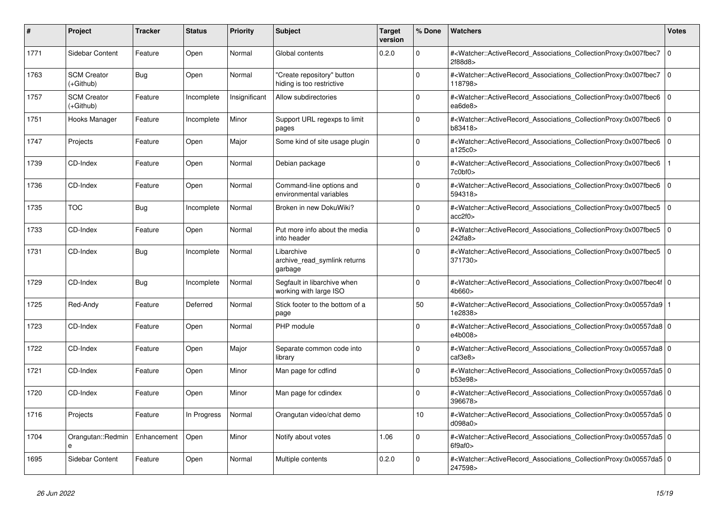| #    | <b>Project</b>                  | Tracker     | <b>Status</b> | <b>Priority</b> | <b>Subject</b>                                          | <b>Target</b><br>version | % Done   | <b>Watchers</b>                                                                                                                                           | <b>Votes</b> |
|------|---------------------------------|-------------|---------------|-----------------|---------------------------------------------------------|--------------------------|----------|-----------------------------------------------------------------------------------------------------------------------------------------------------------|--------------|
| 1771 | Sidebar Content                 | Feature     | Open          | Normal          | Global contents                                         | 0.2.0                    | $\Omega$ | # <watcher::activerecord_associations_collectionproxy:0x007fbec7<br>2f88d8&gt;</watcher::activerecord_associations_collectionproxy:0x007fbec7<br>         | $\mathbf 0$  |
| 1763 | <b>SCM Creator</b><br>(+Github) | Bug         | Open          | Normal          | 'Create repository" button<br>hiding is too restrictive |                          | $\Omega$ | # <watcher::activerecord associations="" collectionproxy:0x007fbec7<br="">118798&gt;</watcher::activerecord>                                              | $\mathbf 0$  |
| 1757 | <b>SCM Creator</b><br>(+Github) | Feature     | Incomplete    | Insignificant   | Allow subdirectories                                    |                          | $\Omega$ | # <watcher::activerecord_associations_collectionproxy:0x007fbec6 0<br="">ea6de8&gt;</watcher::activerecord_associations_collectionproxy:0x007fbec6>       |              |
| 1751 | Hooks Manager                   | Feature     | Incomplete    | Minor           | Support URL regexps to limit<br>pages                   |                          | $\Omega$ | # <watcher::activerecord_associations_collectionproxy:0x007fbec6<br>b83418&gt;</watcher::activerecord_associations_collectionproxy:0x007fbec6<br>         | $\Omega$     |
| 1747 | Projects                        | Feature     | Open          | Major           | Some kind of site usage plugin                          |                          | $\Omega$ | # <watcher::activerecord associations="" collectionproxy:0x007fbec6<br="">a125c0&gt;</watcher::activerecord>                                              | $\mathbf 0$  |
| 1739 | CD-Index                        | Feature     | Open          | Normal          | Debian package                                          |                          | $\Omega$ | # <watcher::activerecord_associations_collectionproxy:0x007fbec6<br>7c0bf0</watcher::activerecord_associations_collectionproxy:0x007fbec6<br>             |              |
| 1736 | CD-Index                        | Feature     | Open          | Normal          | Command-line options and<br>environmental variables     |                          | $\Omega$ | # <watcher::activerecord_associations_collectionproxy:0x007fbec6<br>594318&gt;</watcher::activerecord_associations_collectionproxy:0x007fbec6<br>         | $\Omega$     |
| 1735 | <b>TOC</b>                      | Bug         | Incomplete    | Normal          | Broken in new DokuWiki?                                 |                          | $\Omega$ | # <watcher::activerecord associations="" collectionproxy:0x007fbec5<br="">acc2f0</watcher::activerecord>                                                  | $\mathbf{0}$ |
| 1733 | CD-Index                        | Feature     | Open          | Normal          | Put more info about the media<br>into header            |                          | $\Omega$ | # <watcher::activerecord_associations_collectionproxy:0x007fbec5 0<br=""  ="">242fa8</watcher::activerecord_associations_collectionproxy:0x007fbec5>      |              |
| 1731 | CD-Index                        | <b>Bug</b>  | Incomplete    | Normal          | Libarchive<br>archive_read_symlink returns<br>garbage   |                          | $\Omega$ | # <watcher::activerecord_associations_collectionproxy:0x007fbec5<br>371730&gt;</watcher::activerecord_associations_collectionproxy:0x007fbec5<br>         | $\mathbf 0$  |
| 1729 | CD-Index                        | Bug         | Incomplete    | Normal          | Segfault in libarchive when<br>working with large ISO   |                          | $\Omega$ | # <watcher::activerecord_associations_collectionproxy:0x007fbec4f 0<br=""  ="">4b660&gt;</watcher::activerecord_associations_collectionproxy:0x007fbec4f> |              |
| 1725 | Red-Andy                        | Feature     | Deferred      | Normal          | Stick footer to the bottom of a<br>page                 |                          | 50       | # <watcher::activerecord associations="" collectionproxy:0x00557da9<br="">1e2838&gt;</watcher::activerecord>                                              |              |
| 1723 | CD-Index                        | Feature     | Open          | Normal          | PHP module                                              |                          | $\Omega$ | # <watcher::activerecord 0<br="" associations="" collectionproxy:0x00557da8=""  ="">e4b008&gt;</watcher::activerecord>                                    |              |
| 1722 | CD-Index                        | Feature     | Open          | Major           | Separate common code into<br>library                    |                          | $\Omega$ | # <watcher::activerecord_associations_collectionproxy:0x00557da8 0<br=""  ="">caf3e8</watcher::activerecord_associations_collectionproxy:0x00557da8>      |              |
| 1721 | CD-Index                        | Feature     | Open          | Minor           | Man page for cdfind                                     |                          | $\Omega$ | # <watcher::activerecord 0<br="" associations="" collectionproxy:0x00557da5=""  ="">b53e98&gt;</watcher::activerecord>                                    |              |
| 1720 | CD-Index                        | Feature     | Open          | Minor           | Man page for cdindex                                    |                          | $\Omega$ | # <watcher::activerecord 0<br="" associations="" collectionproxy:0x00557da6=""  ="">396678&gt;</watcher::activerecord>                                    |              |
| 1716 | Projects                        | Feature     | In Progress   | Normal          | Orangutan video/chat demo                               |                          | 10       | # <watcher::activerecord_associations_collectionproxy:0x00557da5 0<br=""  ="">d098a0&gt;</watcher::activerecord_associations_collectionproxy:0x00557da5>  |              |
| 1704 | Orangutan::Redmin<br>e          | Enhancement | Open          | Minor           | Notify about votes                                      | 1.06                     | $\Omega$ | # <watcher::activerecord_associations_collectionproxy:0x00557da5 0<br=""  ="">6f9af0</watcher::activerecord_associations_collectionproxy:0x00557da5>      |              |
| 1695 | Sidebar Content                 | Feature     | Open          | Normal          | Multiple contents                                       | 0.2.0                    | $\Omega$ | # <watcher::activerecord 0<br="" associations="" collectionproxy:0x00557da5=""  ="">247598&gt;</watcher::activerecord>                                    |              |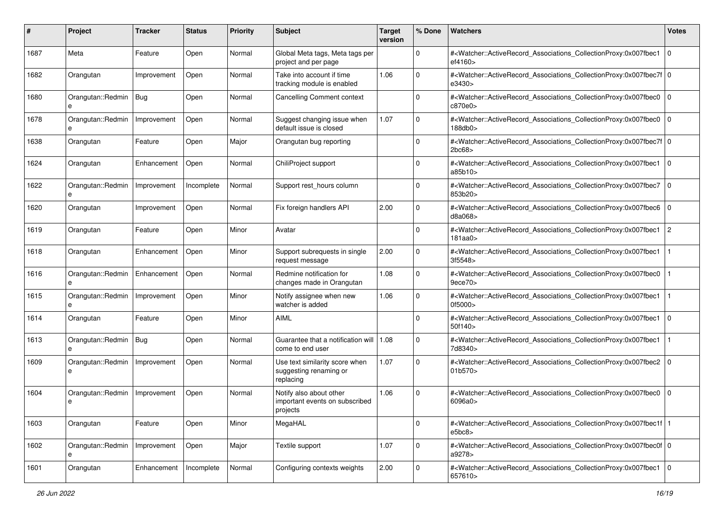| #    | Project                | Tracker     | <b>Status</b> | <b>Priority</b> | <b>Subject</b>                                                        | <b>Target</b><br>version | % Done       | Watchers                                                                                                                                                  | <b>Votes</b>   |
|------|------------------------|-------------|---------------|-----------------|-----------------------------------------------------------------------|--------------------------|--------------|-----------------------------------------------------------------------------------------------------------------------------------------------------------|----------------|
| 1687 | Meta                   | Feature     | Open          | Normal          | Global Meta tags, Meta tags per<br>project and per page               |                          | $\mathbf 0$  | # <watcher::activerecord_associations_collectionproxy:0x007fbec1<br>ef4160&gt;</watcher::activerecord_associations_collectionproxy:0x007fbec1<br>         | l O            |
| 1682 | Orangutan              | Improvement | Open          | Normal          | Take into account if time<br>tracking module is enabled               | 1.06                     | $\Omega$     | # <watcher::activerecord_associations_collectionproxy:0x007fbec7f 0<br=""  ="">e3430&gt;</watcher::activerecord_associations_collectionproxy:0x007fbec7f> |                |
| 1680 | Orangutan::Redmin<br>e | Bug         | Open          | Normal          | <b>Cancelling Comment context</b>                                     |                          | $\mathbf 0$  | # <watcher::activerecord_associations_collectionproxy:0x007fbec0<br>c870e0&gt;</watcher::activerecord_associations_collectionproxy:0x007fbec0<br>         | l 0            |
| 1678 | Orangutan::Redmin<br>e | Improvement | Open          | Normal          | Suggest changing issue when<br>default issue is closed                | 1.07                     | $\mathbf 0$  | # <watcher::activerecord_associations_collectionproxy:0x007fbec0<br>188db0&gt;</watcher::activerecord_associations_collectionproxy:0x007fbec0<br>         | l 0            |
| 1638 | Orangutan              | Feature     | Open          | Major           | Orangutan bug reporting                                               |                          | $\mathbf 0$  | # <watcher::activerecord_associations_collectionproxy:0x007fbec7f 0<br=""  ="">2bc68</watcher::activerecord_associations_collectionproxy:0x007fbec7f>     |                |
| 1624 | Orangutan              | Enhancement | Open          | Normal          | ChiliProject support                                                  |                          | $\Omega$     | # <watcher::activerecord_associations_collectionproxy:0x007fbec1<br>a85b10&gt;</watcher::activerecord_associations_collectionproxy:0x007fbec1<br>         | l 0            |
| 1622 | Orangutan::Redmin      | Improvement | Incomplete    | Normal          | Support rest_hours column                                             |                          | $\Omega$     | # <watcher::activerecord_associations_collectionproxy:0x007fbec7<br>853b20&gt;</watcher::activerecord_associations_collectionproxy:0x007fbec7<br>         | l O            |
| 1620 | Orangutan              | Improvement | Open          | Normal          | Fix foreign handlers API                                              | 2.00                     | $\mathbf 0$  | # <watcher::activerecord_associations_collectionproxy:0x007fbec6 0<br=""  ="">d8a068</watcher::activerecord_associations_collectionproxy:0x007fbec6>      |                |
| 1619 | Orangutan              | Feature     | Open          | Minor           | Avatar                                                                |                          | $\mathbf 0$  | # <watcher::activerecord_associations_collectionproxy:0x007fbec1<br>181aa0</watcher::activerecord_associations_collectionproxy:0x007fbec1<br>             | $\overline{2}$ |
| 1618 | Orangutan              | Enhancement | Open          | Minor           | Support subrequests in single<br>request message                      | 2.00                     | $\mathbf 0$  | # <watcher::activerecord_associations_collectionproxy:0x007fbec1<br>3f5548&gt;</watcher::activerecord_associations_collectionproxy:0x007fbec1<br>         |                |
| 1616 | Orangutan::Redmin<br>e | Enhancement | Open          | Normal          | Redmine notification for<br>changes made in Orangutan                 | 1.08                     | $\Omega$     | # <watcher::activerecord_associations_collectionproxy:0x007fbec0<br>9ece70</watcher::activerecord_associations_collectionproxy:0x007fbec0<br>             |                |
| 1615 | Orangutan::Redmin<br>e | Improvement | Open          | Minor           | Notify assignee when new<br>watcher is added                          | 1.06                     | $\mathbf 0$  | # <watcher::activerecord_associations_collectionproxy:0x007fbec1<br>0f5000&gt;</watcher::activerecord_associations_collectionproxy:0x007fbec1<br>         |                |
| 1614 | Orangutan              | Feature     | Open          | Minor           | <b>AIML</b>                                                           |                          | $\Omega$     | # <watcher::activerecord_associations_collectionproxy:0x007fbec1<br>50f140&gt;</watcher::activerecord_associations_collectionproxy:0x007fbec1<br>         | $\Omega$       |
| 1613 | Orangutan::Redmin      | Bug         | Open          | Normal          | Guarantee that a notification will   1.08<br>come to end user         |                          | $\mathbf 0$  | # <watcher::activerecord_associations_collectionproxy:0x007fbec1<br>7d8340&gt;</watcher::activerecord_associations_collectionproxy:0x007fbec1<br>         |                |
| 1609 | Orangutan::Redmin<br>e | Improvement | Open          | Normal          | Use text similarity score when<br>suggesting renaming or<br>replacing | 1.07                     | $\mathbf 0$  | # <watcher::activerecord_associations_collectionproxy:0x007fbec2<br>01b570&gt;</watcher::activerecord_associations_collectionproxy:0x007fbec2<br>         |                |
| 1604 | Orangutan::Redmin<br>e | Improvement | Open          | Normal          | Notify also about other<br>important events on subscribed<br>projects | 1.06                     | $\Omega$     | # <watcher::activerecord_associations_collectionproxy:0x007fbec0<br>6096a0&gt;</watcher::activerecord_associations_collectionproxy:0x007fbec0<br>         | $\mathbf 0$    |
| 1603 | Orangutan              | Feature     | Open          | Minor           | MegaHAL                                                               |                          | 0            | # <watcher::activerecord_associations_collectionproxy:0x007fbec1f 1<br=""  ="">e5bc8&gt;</watcher::activerecord_associations_collectionproxy:0x007fbec1f> |                |
| 1602 | Orangutan::Redmin<br>e | Improvement | Open          | Major           | Textile support                                                       | 1.07                     | $\mathsf{O}$ | # <watcher::activerecord_associations_collectionproxy:0x007fbec0f 0<br=""  ="">a9278&gt;</watcher::activerecord_associations_collectionproxy:0x007fbec0f> |                |
| 1601 | Orangutan              | Enhancement | Incomplete    | Normal          | Configuring contexts weights                                          | 2.00                     | $\mathsf 0$  | # <watcher::activerecord_associations_collectionproxy:0x007fbec1<br>657610&gt;</watcher::activerecord_associations_collectionproxy:0x007fbec1<br>         | $\overline{0}$ |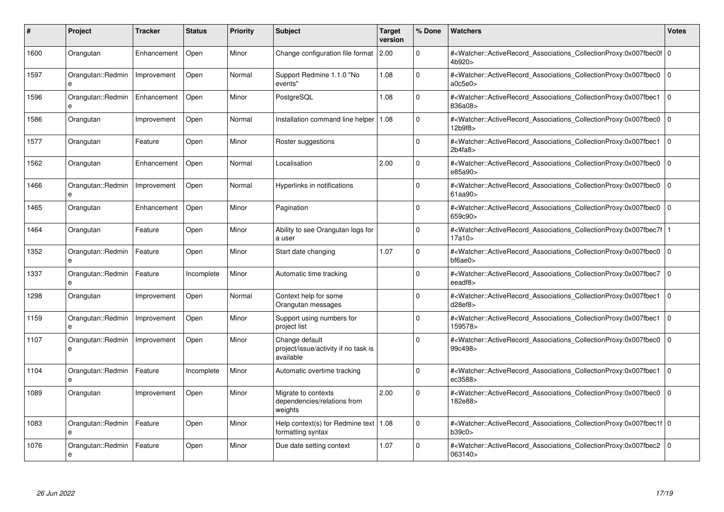| #    | Project                           | <b>Tracker</b> | <b>Status</b> | <b>Priority</b> | <b>Subject</b>                                                      | <b>Target</b><br>version | % Done   | <b>Watchers</b>                                                                                                                                           | <b>Votes</b> |
|------|-----------------------------------|----------------|---------------|-----------------|---------------------------------------------------------------------|--------------------------|----------|-----------------------------------------------------------------------------------------------------------------------------------------------------------|--------------|
| 1600 | Orangutan                         | Enhancement    | Open          | Minor           | Change configuration file format 2.00                               |                          | $\Omega$ | # <watcher::activerecord_associations_collectionproxy:0x007fbec0f 0<br=""  ="">4b920&gt;</watcher::activerecord_associations_collectionproxy:0x007fbec0f> |              |
| 1597 | Orangutan::Redmin<br>e            | Improvement    | Open          | Normal          | Support Redmine 1.1.0 "No<br>events"                                | 1.08                     | $\Omega$ | # <watcher::activerecord 0<br="" associations="" collectionproxy:0x007fbec0=""  ="">a0c5e0</watcher::activerecord>                                        |              |
| 1596 | Orangutan::Redmin<br>e            | Enhancement    | Open          | Minor           | PostgreSQL                                                          | 1.08                     | $\Omega$ | # <watcher::activerecord associations="" collectionproxy:0x007fbec1<br="">836a08&gt;</watcher::activerecord>                                              | $\mathbf{0}$ |
| 1586 | Orangutan                         | Improvement    | Open          | Normal          | Installation command line helper                                    | 1.08                     | $\Omega$ | # <watcher::activerecord_associations_collectionproxy:0x007fbec0 0<br="">12b9f8&gt;</watcher::activerecord_associations_collectionproxy:0x007fbec0>       |              |
| 1577 | Orangutan                         | Feature        | Open          | Minor           | Roster suggestions                                                  |                          | $\Omega$ | # <watcher::activerecord_associations_collectionproxy:0x007fbec1<br>2b4fa8</watcher::activerecord_associations_collectionproxy:0x007fbec1<br>             | $\Omega$     |
| 1562 | Orangutan                         | Enhancement    | Open          | Normal          | Localisation                                                        | 2.00                     | $\Omega$ | # <watcher::activerecord_associations_collectionproxy:0x007fbec0<br>e85a90&gt;</watcher::activerecord_associations_collectionproxy:0x007fbec0<br>         | $\Omega$     |
| 1466 | Orangutan::Redmin<br>e            | Improvement    | Open          | Normal          | Hyperlinks in notifications                                         |                          | $\Omega$ | # <watcher::activerecord associations="" collectionproxy:0x007fbec0<br="">61aa90&gt;</watcher::activerecord>                                              | $\mathbf{0}$ |
| 1465 | Orangutan                         | Enhancement    | Open          | Minor           | Pagination                                                          |                          | $\Omega$ | # <watcher::activerecord associations="" collectionproxy:0x007fbec0<br="">659c90&gt;</watcher::activerecord>                                              | $\mathbf 0$  |
| 1464 | Orangutan                         | Feature        | Open          | Minor           | Ability to see Orangutan logs for<br>a user                         |                          | $\Omega$ | # <watcher::activerecord associations="" collectionproxy:0x007fbec7f=""  <br="">17a10 &gt;</watcher::activerecord>                                        |              |
| 1352 | Orangutan::Redmin                 | Feature        | Open          | Minor           | Start date changing                                                 | 1.07                     | $\Omega$ | # <watcher::activerecord_associations_collectionproxy:0x007fbec0<br>bf6ae0&gt;</watcher::activerecord_associations_collectionproxy:0x007fbec0<br>         | $\Omega$     |
| 1337 | Orangutan::Redmin<br>$\mathbf{a}$ | Feature        | Incomplete    | Minor           | Automatic time tracking                                             |                          | $\Omega$ | # <watcher::activerecord_associations_collectionproxy:0x007fbec7 0<br=""  ="">eeadf8&gt;</watcher::activerecord_associations_collectionproxy:0x007fbec7>  |              |
| 1298 | Orangutan                         | Improvement    | Open          | Normal          | Context help for some<br>Orangutan messages                         |                          | $\Omega$ | # <watcher::activerecord associations="" collectionproxy:0x007fbec1<br="">d28ef8</watcher::activerecord>                                                  | $\mathbf{0}$ |
| 1159 | Orangutan::Redmin<br>e            | Improvement    | Open          | Minor           | Support using numbers for<br>project list                           |                          | $\Omega$ | # <watcher::activerecord_associations_collectionproxy:0x007fbec1 0<br=""  ="">159578&gt;</watcher::activerecord_associations_collectionproxy:0x007fbec1>  |              |
| 1107 | Orangutan::Redmin<br>e            | Improvement    | Open          | Minor           | Change default<br>project/issue/activity if no task is<br>available |                          | $\Omega$ | # <watcher::activerecord associations="" collectionproxy:0x007fbec0<br="">99c498&gt;</watcher::activerecord>                                              | $\mathbf 0$  |
| 1104 | Orangutan::Redmin                 | Feature        | Incomplete    | Minor           | Automatic overtime tracking                                         |                          | $\Omega$ | # <watcher::activerecord_associations_collectionproxy:0x007fbec1 0<br="">ec3588&gt;</watcher::activerecord_associations_collectionproxy:0x007fbec1>       |              |
| 1089 | Orangutan                         | Improvement    | Open          | Minor           | Migrate to contexts<br>dependencies/relations from<br>weights       | 2.00                     | $\Omega$ | # <watcher::activerecord associations="" collectionproxy:0x007fbec0<br="">182e88&gt;</watcher::activerecord>                                              | $\mathbf 0$  |
| 1083 | Orangutan::Redmin<br>e            | Feature        | Open          | Minor           | Help context(s) for Redmine text   $1.08$<br>formatting syntax      |                          | $\Omega$ | # <watcher::activerecord 0<br="" associations="" collectionproxy:0x007fbec1f=""  ="">b39c0</watcher::activerecord>                                        |              |
| 1076 | Orangutan::Redmin<br>e            | Feature        | Open          | Minor           | Due date setting context                                            | 1.07                     | $\Omega$ | # <watcher::activerecord associations="" collectionproxy:0x007fbec2<br="">063140&gt;</watcher::activerecord>                                              | $\mathbf 0$  |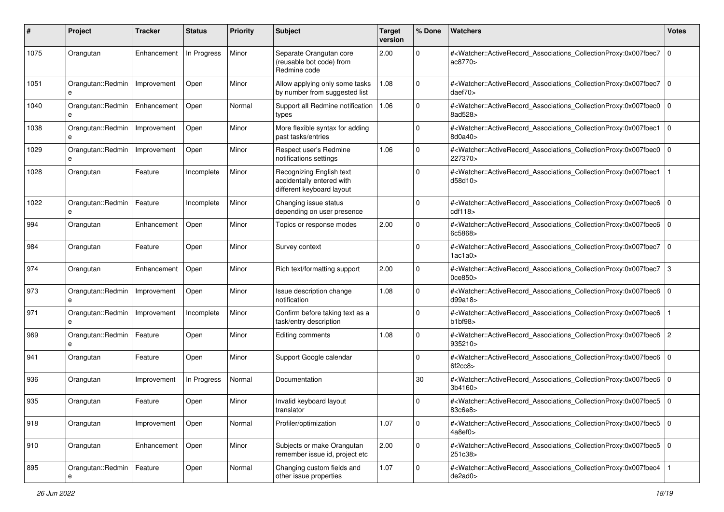| #             | Project                | <b>Tracker</b> | <b>Status</b> | <b>Priority</b> | Subject                                                                            | <b>Target</b><br>version | % Done      | Watchers                                                                                                                                                 | <b>Votes</b>   |
|---------------|------------------------|----------------|---------------|-----------------|------------------------------------------------------------------------------------|--------------------------|-------------|----------------------------------------------------------------------------------------------------------------------------------------------------------|----------------|
| 1075          | Orangutan              | Enhancement    | In Progress   | Minor           | Separate Orangutan core<br>(reusable bot code) from<br>Redmine code                | 2.00                     | 0           | # <watcher::activerecord_associations_collectionproxy:0x007fbec7<br>ac8770&gt;</watcher::activerecord_associations_collectionproxy:0x007fbec7<br>        | l o            |
| 1051          | Orangutan::Redmin<br>e | Improvement    | Open          | Minor           | Allow applying only some tasks<br>by number from suggested list                    | 1.08                     | $\Omega$    | # <watcher::activerecord associations="" collectionproxy:0x007fbec7<br="">daef70&gt;</watcher::activerecord>                                             | $\overline{0}$ |
| 1040          | Orangutan::Redmin      | Enhancement    | Open          | Normal          | Support all Redmine notification<br>types                                          | 1.06                     | $\Omega$    | # <watcher::activerecord_associations_collectionproxy:0x007fbec0<br>8ad528&gt;</watcher::activerecord_associations_collectionproxy:0x007fbec0<br>        | $\overline{0}$ |
| 1038          | Orangutan::Redmin<br>e | Improvement    | Open          | Minor           | More flexible syntax for adding<br>past tasks/entries                              |                          | $\Omega$    | # <watcher::activerecord_associations_collectionproxy:0x007fbec1<br>8d0a40&gt;</watcher::activerecord_associations_collectionproxy:0x007fbec1<br>        | l 0            |
| 1029          | Orangutan::Redmin<br>е | Improvement    | Open          | Minor           | Respect user's Redmine<br>notifications settings                                   | 1.06                     | $\Omega$    | # <watcher::activerecord_associations_collectionproxy:0x007fbec0<br>227370&gt;</watcher::activerecord_associations_collectionproxy:0x007fbec0<br>        | $\overline{0}$ |
| 1028          | Orangutan              | Feature        | Incomplete    | Minor           | Recognizing English text<br>accidentally entered with<br>different keyboard layout |                          | $\Omega$    | # <watcher::activerecord_associations_collectionproxy:0x007fbec1<br>d58d10&gt;</watcher::activerecord_associations_collectionproxy:0x007fbec1<br>        |                |
| 1022          | Orangutan::Redmin<br>e | Feature        | Incomplete    | Minor           | Changing issue status<br>depending on user presence                                |                          | $\Omega$    | # <watcher::activerecord_associations_collectionproxy:0x007fbec6 0<br=""  ="">cdf118</watcher::activerecord_associations_collectionproxy:0x007fbec6>     |                |
| 994           | Orangutan              | Enhancement    | Open          | Minor           | Topics or response modes                                                           | 2.00                     | $\Omega$    | # <watcher::activerecord_associations_collectionproxy:0x007fbec6 0<br=""  ="">6c5868&gt;</watcher::activerecord_associations_collectionproxy:0x007fbec6> |                |
| 984           | Orangutan              | Feature        | Open          | Minor           | Survey context                                                                     |                          | $\Omega$    | # <watcher::activerecord_associations_collectionproxy:0x007fbec7<br>1ac1a0&gt;</watcher::activerecord_associations_collectionproxy:0x007fbec7<br>        | $\overline{0}$ |
| 974           | Orangutan              | Enhancement    | Open          | Minor           | Rich text/formatting support                                                       | 2.00                     | $\Omega$    | # <watcher::activerecord_associations_collectionproxy:0x007fbec7<br>0ce850&gt;</watcher::activerecord_associations_collectionproxy:0x007fbec7<br>        | $\overline{3}$ |
| 973           | Orangutan::Redmin<br>e | Improvement    | Open          | Minor           | Issue description change<br>notification                                           | 1.08                     | $\Omega$    | # <watcher::activerecord_associations_collectionproxy:0x007fbec6<br>d99a18</watcher::activerecord_associations_collectionproxy:0x007fbec6<br>            | $\overline{0}$ |
| 971           | Orangutan::Redmin<br>e | Improvement    | Incomplete    | Minor           | Confirm before taking text as a<br>task/entry description                          |                          | $\Omega$    | # <watcher::activerecord_associations_collectionproxy:0x007fbec6<br>b1b198</watcher::activerecord_associations_collectionproxy:0x007fbec6<br>            |                |
| 969           | Orangutan::Redmin<br>e | Feature        | Open          | Minor           | Editing comments                                                                   | 1.08                     | 0           | # <watcher::activerecord_associations_collectionproxy:0x007fbec6 2<br="">935210&gt;</watcher::activerecord_associations_collectionproxy:0x007fbec6>      |                |
| 941           | Orangutan              | Feature        | Open          | Minor           | Support Google calendar                                                            |                          | $\Omega$    | # <watcher::activerecord_associations_collectionproxy:0x007fbec6<br>6f2cc8</watcher::activerecord_associations_collectionproxy:0x007fbec6<br>            | $\overline{0}$ |
| 936           | Orangutan              | Improvement    | In Progress   | Normal          | Documentation                                                                      |                          | 30          | # <watcher::activerecord_associations_collectionproxy:0x007fbec6 0<br=""  ="">3b4160&gt;</watcher::activerecord_associations_collectionproxy:0x007fbec6> |                |
| 935           | Orangutan              | Feature        | Open          | Minor           | Invalid keyboard layout<br>translator                                              |                          | $\Omega$    | # <watcher::activerecord_associations_collectionproxy:0x007fbec5 0<br="">83c6e8&gt;</watcher::activerecord_associations_collectionproxy:0x007fbec5>      |                |
| 918           | Orangutan              | Improvement    | Open          | Normal          | Profiler/optimization                                                              | 1.07                     | $\mathbf 0$ | # <watcher::activerecord_associations_collectionproxy:0x007fbec5 0<br=""  ="">4a8ef0&gt;</watcher::activerecord_associations_collectionproxy:0x007fbec5> |                |
| $ 910\rangle$ | Orangutan              | Enhancement    | Open          | Minor           | Subjects or make Orangutan<br>remember issue id, project etc                       | 2.00                     | $\mathbf 0$ | # <watcher::activerecord 0<br="" associations="" collectionproxy:0x007fbec5="">251c38&gt;</watcher::activerecord>                                        |                |
| 895           | Orangutan::Redmin      | Feature        | Open          | Normal          | Changing custom fields and<br>other issue properties                               | 1.07                     | $\mathbf 0$ | # <watcher::activerecord_associations_collectionproxy:0x007fbec4<br>de2ad0</watcher::activerecord_associations_collectionproxy:0x007fbec4<br>            |                |